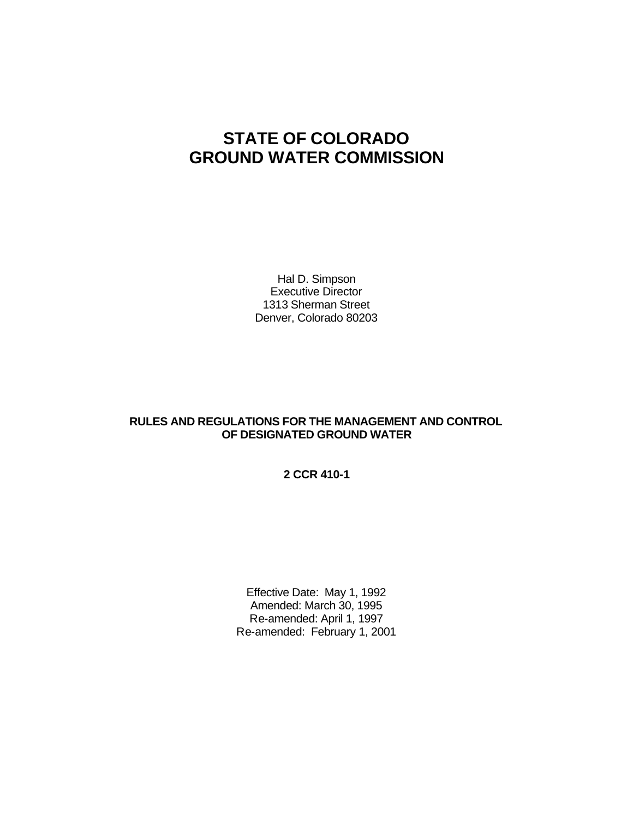# **STATE OF COLORADO GROUND WATER COMMISSION**

Hal D. Simpson Executive Director 1313 Sherman Street Denver, Colorado 80203

## **RULES AND REGULATIONS FOR THE MANAGEMENT AND CONTROL OF DESIGNATED GROUND WATER**

**2 CCR 410-1**

Effective Date: May 1, 1992 Amended: March 30, 1995 Re-amended: April 1, 1997 Re-amended: February 1, 2001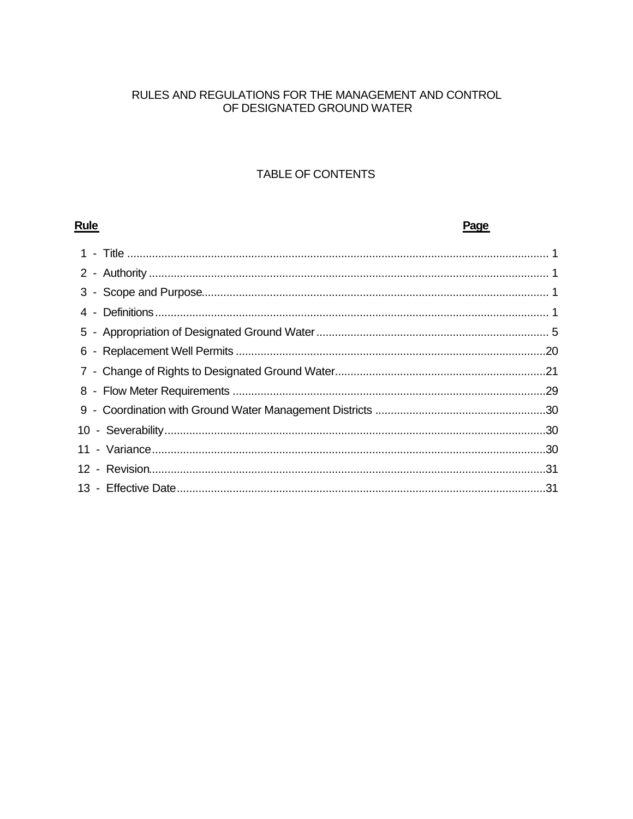# RULES AND REGULATIONS FOR THE MANAGEMENT AND CONTROL OF DESIGNATED GROUND WATER

# TABLE OF CONTENTS

| <b>Rule</b> | Page |
|-------------|------|
|             |      |
|             |      |
|             |      |
|             |      |
|             |      |
| 6           |      |
|             |      |
|             |      |
|             |      |
|             |      |
|             |      |
|             |      |
|             |      |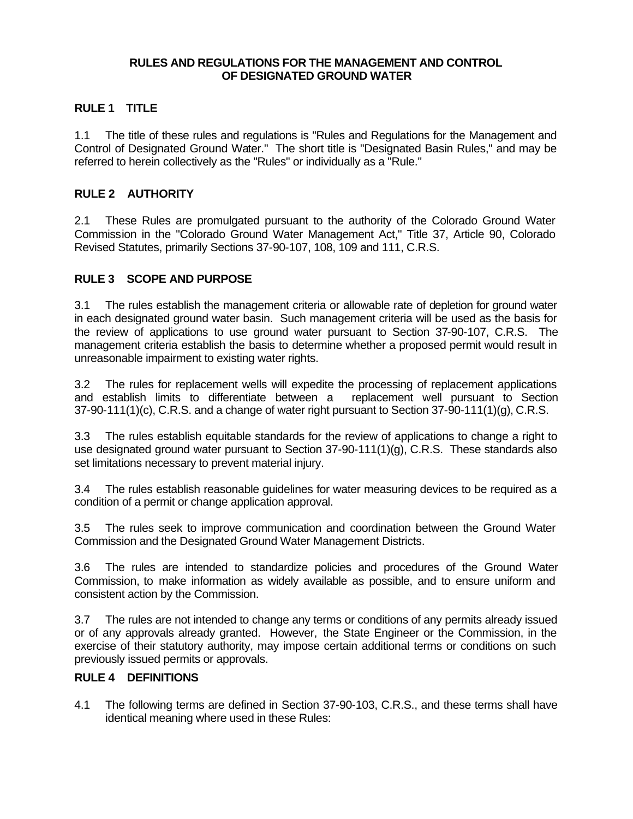#### **RULES AND REGULATIONS FOR THE MANAGEMENT AND CONTROL OF DESIGNATED GROUND WATER**

# **RULE 1 TITLE**

1.1 The title of these rules and regulations is "Rules and Regulations for the Management and Control of Designated Ground Water." The short title is "Designated Basin Rules," and may be referred to herein collectively as the "Rules" or individually as a "Rule."

## **RULE 2 AUTHORITY**

2.1 These Rules are promulgated pursuant to the authority of the Colorado Ground Water Commission in the "Colorado Ground Water Management Act," Title 37, Article 90, Colorado Revised Statutes, primarily Sections 37-90-107, 108, 109 and 111, C.R.S.

## **RULE 3 SCOPE AND PURPOSE**

3.1 The rules establish the management criteria or allowable rate of depletion for ground water in each designated ground water basin. Such management criteria will be used as the basis for the review of applications to use ground water pursuant to Section 37-90-107, C.R.S. The management criteria establish the basis to determine whether a proposed permit would result in unreasonable impairment to existing water rights.

3.2 The rules for replacement wells will expedite the processing of replacement applications and establish limits to differentiate between a replacement well pursuant to Section 37-90-111(1)(c), C.R.S. and a change of water right pursuant to Section 37-90-111(1)(g), C.R.S.

3.3 The rules establish equitable standards for the review of applications to change a right to use designated ground water pursuant to Section 37-90-111(1)(g), C.R.S. These standards also set limitations necessary to prevent material injury.

3.4 The rules establish reasonable guidelines for water measuring devices to be required as a condition of a permit or change application approval.

3.5 The rules seek to improve communication and coordination between the Ground Water Commission and the Designated Ground Water Management Districts.

3.6 The rules are intended to standardize policies and procedures of the Ground Water Commission, to make information as widely available as possible, and to ensure uniform and consistent action by the Commission.

3.7 The rules are not intended to change any terms or conditions of any permits already issued or of any approvals already granted. However, the State Engineer or the Commission, in the exercise of their statutory authority, may impose certain additional terms or conditions on such previously issued permits or approvals.

## **RULE 4 DEFINITIONS**

4.1 The following terms are defined in Section 37-90-103, C.R.S., and these terms shall have identical meaning where used in these Rules: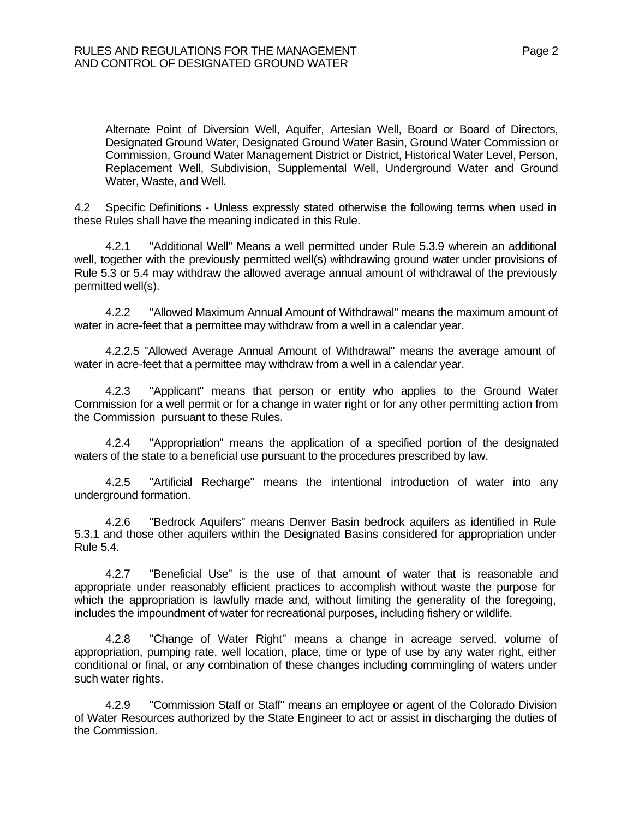Alternate Point of Diversion Well, Aquifer, Artesian Well, Board or Board of Directors, Designated Ground Water, Designated Ground Water Basin, Ground Water Commission or Commission, Ground Water Management District or District, Historical Water Level, Person, Replacement Well, Subdivision, Supplemental Well, Underground Water and Ground Water, Waste, and Well.

4.2 Specific Definitions - Unless expressly stated otherwise the following terms when used in these Rules shall have the meaning indicated in this Rule.

4.2.1 "Additional Well" Means a well permitted under Rule 5.3.9 wherein an additional well, together with the previously permitted well(s) withdrawing ground water under provisions of Rule 5.3 or 5.4 may withdraw the allowed average annual amount of withdrawal of the previously permitted well(s).

4.2.2 "Allowed Maximum Annual Amount of Withdrawal" means the maximum amount of water in acre-feet that a permittee may withdraw from a well in a calendar year.

4.2.2.5 "Allowed Average Annual Amount of Withdrawal" means the average amount of water in acre-feet that a permittee may withdraw from a well in a calendar year.

4.2.3 "Applicant" means that person or entity who applies to the Ground Water Commission for a well permit or for a change in water right or for any other permitting action from the Commission pursuant to these Rules.

4.2.4 "Appropriation" means the application of a specified portion of the designated waters of the state to a beneficial use pursuant to the procedures prescribed by law.

4.2.5 "Artificial Recharge" means the intentional introduction of water into any underground formation.

4.2.6 "Bedrock Aquifers" means Denver Basin bedrock aquifers as identified in Rule 5.3.1 and those other aquifers within the Designated Basins considered for appropriation under Rule 5.4.

4.2.7 "Beneficial Use" is the use of that amount of water that is reasonable and appropriate under reasonably efficient practices to accomplish without waste the purpose for which the appropriation is lawfully made and, without limiting the generality of the foregoing, includes the impoundment of water for recreational purposes, including fishery or wildlife.

4.2.8 "Change of Water Right" means a change in acreage served, volume of appropriation, pumping rate, well location, place, time or type of use by any water right, either conditional or final, or any combination of these changes including commingling of waters under such water rights.

4.2.9 "Commission Staff or Staff" means an employee or agent of the Colorado Division of Water Resources authorized by the State Engineer to act or assist in discharging the duties of the Commission.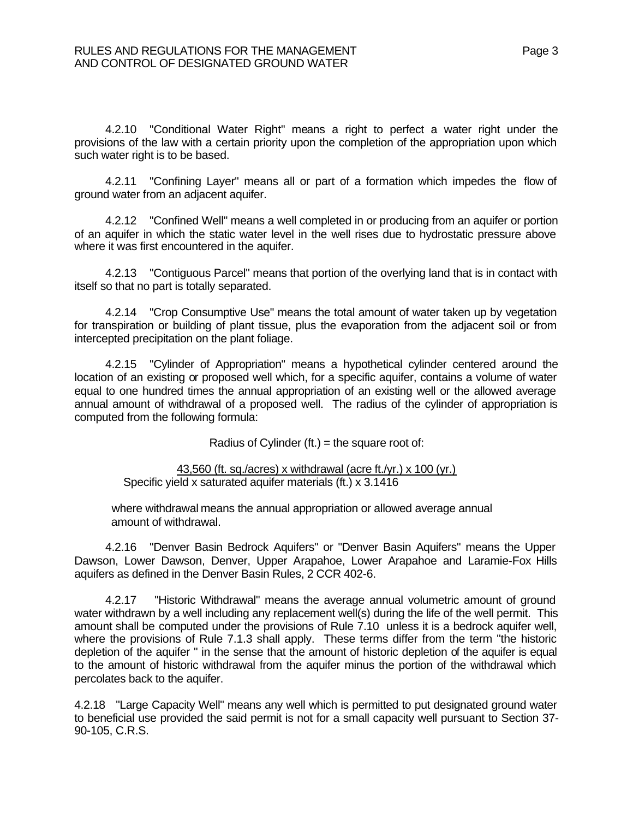4.2.10 "Conditional Water Right" means a right to perfect a water right under the provisions of the law with a certain priority upon the completion of the appropriation upon which such water right is to be based.

4.2.11 "Confining Layer" means all or part of a formation which impedes the flow of ground water from an adjacent aquifer.

4.2.12 "Confined Well" means a well completed in or producing from an aquifer or portion of an aquifer in which the static water level in the well rises due to hydrostatic pressure above where it was first encountered in the aquifer.

4.2.13 "Contiguous Parcel" means that portion of the overlying land that is in contact with itself so that no part is totally separated.

4.2.14 "Crop Consumptive Use" means the total amount of water taken up by vegetation for transpiration or building of plant tissue, plus the evaporation from the adjacent soil or from intercepted precipitation on the plant foliage.

4.2.15 "Cylinder of Appropriation" means a hypothetical cylinder centered around the location of an existing or proposed well which, for a specific aquifer, contains a volume of water equal to one hundred times the annual appropriation of an existing well or the allowed average annual amount of withdrawal of a proposed well. The radius of the cylinder of appropriation is computed from the following formula:

Radius of Cylinder (ft.) = the square root of:

43,560 (ft. sq./acres) x withdrawal (acre ft./yr.) x 100 (yr.) Specific yield x saturated aquifer materials (ft.) x 3.1416

 where withdrawal means the annual appropriation or allowed average annual amount of withdrawal.

4.2.16 "Denver Basin Bedrock Aquifers" or "Denver Basin Aquifers" means the Upper Dawson, Lower Dawson, Denver, Upper Arapahoe, Lower Arapahoe and Laramie-Fox Hills aquifers as defined in the Denver Basin Rules, 2 CCR 402-6.

4.2.17 "Historic Withdrawal" means the average annual volumetric amount of ground water withdrawn by a well including any replacement well(s) during the life of the well permit. This amount shall be computed under the provisions of Rule 7.10 unless it is a bedrock aquifer well, where the provisions of Rule 7.1.3 shall apply. These terms differ from the term "the historic depletion of the aquifer " in the sense that the amount of historic depletion of the aquifer is equal to the amount of historic withdrawal from the aquifer minus the portion of the withdrawal which percolates back to the aquifer.

4.2.18 "Large Capacity Well" means any well which is permitted to put designated ground water to beneficial use provided the said permit is not for a small capacity well pursuant to Section 37- 90-105, C.R.S.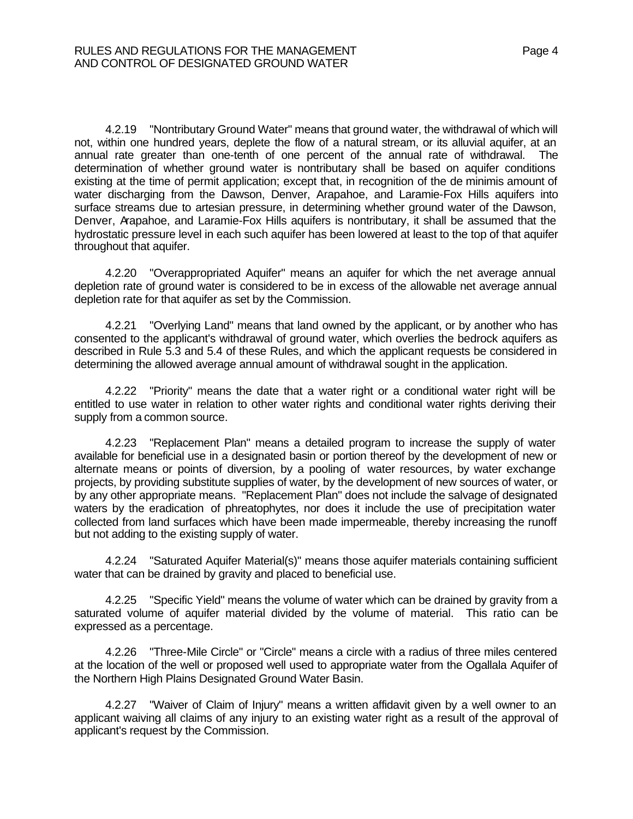4.2.19 "Nontributary Ground Water" means that ground water, the withdrawal of which will not, within one hundred years, deplete the flow of a natural stream, or its alluvial aquifer, at an annual rate greater than one-tenth of one percent of the annual rate of withdrawal. The determination of whether ground water is nontributary shall be based on aquifer conditions existing at the time of permit application; except that, in recognition of the de minimis amount of water discharging from the Dawson, Denver, Arapahoe, and Laramie-Fox Hills aquifers into surface streams due to artesian pressure, in determining whether ground water of the Dawson, Denver, Arapahoe, and Laramie-Fox Hills aquifers is nontributary, it shall be assumed that the hydrostatic pressure level in each such aquifer has been lowered at least to the top of that aquifer throughout that aquifer.

4.2.20 "Overappropriated Aquifer" means an aquifer for which the net average annual depletion rate of ground water is considered to be in excess of the allowable net average annual depletion rate for that aquifer as set by the Commission.

4.2.21 "Overlying Land" means that land owned by the applicant, or by another who has consented to the applicant's withdrawal of ground water, which overlies the bedrock aquifers as described in Rule 5.3 and 5.4 of these Rules, and which the applicant requests be considered in determining the allowed average annual amount of withdrawal sought in the application.

4.2.22 "Priority" means the date that a water right or a conditional water right will be entitled to use water in relation to other water rights and conditional water rights deriving their supply from a common source.

4.2.23 "Replacement Plan" means a detailed program to increase the supply of water available for beneficial use in a designated basin or portion thereof by the development of new or alternate means or points of diversion, by a pooling of water resources, by water exchange projects, by providing substitute supplies of water, by the development of new sources of water, or by any other appropriate means. "Replacement Plan" does not include the salvage of designated waters by the eradication of phreatophytes, nor does it include the use of precipitation water collected from land surfaces which have been made impermeable, thereby increasing the runoff but not adding to the existing supply of water.

4.2.24 "Saturated Aquifer Material(s)" means those aquifer materials containing sufficient water that can be drained by gravity and placed to beneficial use.

4.2.25 "Specific Yield" means the volume of water which can be drained by gravity from a saturated volume of aquifer material divided by the volume of material. This ratio can be expressed as a percentage.

4.2.26 "Three-Mile Circle" or "Circle" means a circle with a radius of three miles centered at the location of the well or proposed well used to appropriate water from the Ogallala Aquifer of the Northern High Plains Designated Ground Water Basin.

4.2.27 "Waiver of Claim of Injury" means a written affidavit given by a well owner to an applicant waiving all claims of any injury to an existing water right as a result of the approval of applicant's request by the Commission.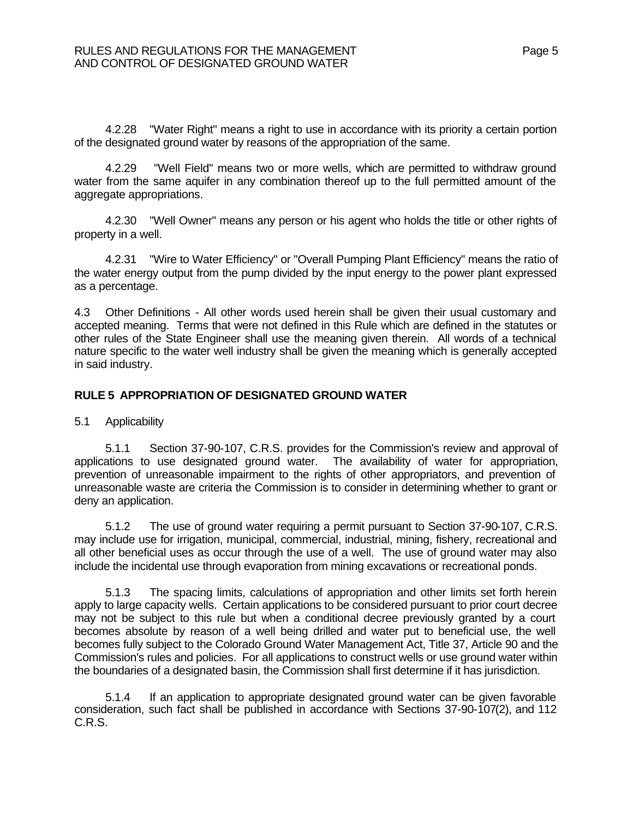4.2.28 "Water Right" means a right to use in accordance with its priority a certain portion of the designated ground water by reasons of the appropriation of the same.

4.2.29 "Well Field" means two or more wells, which are permitted to withdraw ground water from the same aquifer in any combination thereof up to the full permitted amount of the aggregate appropriations.

4.2.30 "Well Owner" means any person or his agent who holds the title or other rights of property in a well.

4.2.31 "Wire to Water Efficiency" or "Overall Pumping Plant Efficiency" means the ratio of the water energy output from the pump divided by the input energy to the power plant expressed as a percentage.

4.3 Other Definitions - All other words used herein shall be given their usual customary and accepted meaning. Terms that were not defined in this Rule which are defined in the statutes or other rules of the State Engineer shall use the meaning given therein. All words of a technical nature specific to the water well industry shall be given the meaning which is generally accepted in said industry.

## **RULE 5 APPROPRIATION OF DESIGNATED GROUND WATER**

5.1 Applicability

5.1.1 Section 37-90-107, C.R.S. provides for the Commission's review and approval of applications to use designated ground water. The availability of water for appropriation, prevention of unreasonable impairment to the rights of other appropriators, and prevention of unreasonable waste are criteria the Commission is to consider in determining whether to grant or deny an application.

5.1.2 The use of ground water requiring a permit pursuant to Section 37-90-107, C.R.S. may include use for irrigation, municipal, commercial, industrial, mining, fishery, recreational and all other beneficial uses as occur through the use of a well. The use of ground water may also include the incidental use through evaporation from mining excavations or recreational ponds.

5.1.3 The spacing limits, calculations of appropriation and other limits set forth herein apply to large capacity wells. Certain applications to be considered pursuant to prior court decree may not be subject to this rule but when a conditional decree previously granted by a court becomes absolute by reason of a well being drilled and water put to beneficial use, the well becomes fully subject to the Colorado Ground Water Management Act, Title 37, Article 90 and the Commission's rules and policies. For all applications to construct wells or use ground water within the boundaries of a designated basin, the Commission shall first determine if it has jurisdiction.

5.1.4 If an application to appropriate designated ground water can be given favorable consideration, such fact shall be published in accordance with Sections 37-90-107(2), and 112 C.R.S.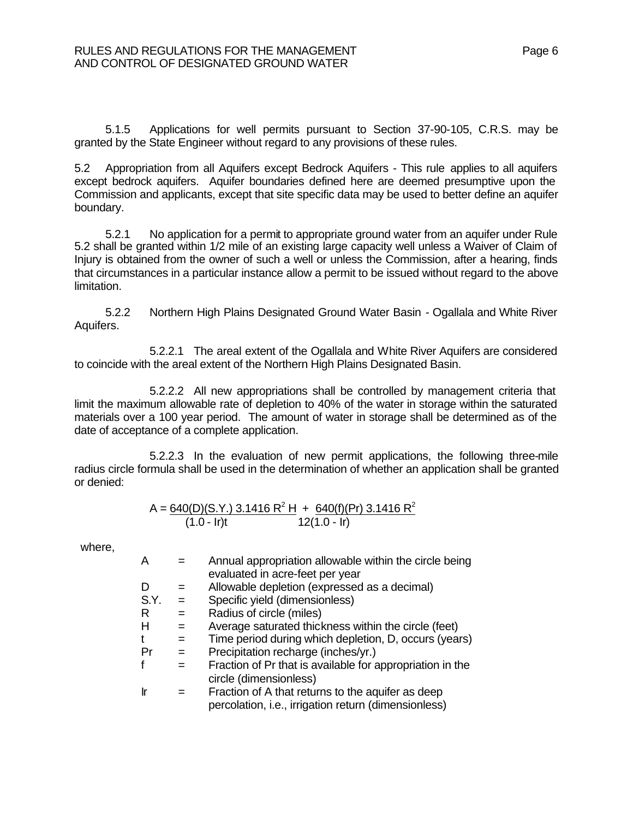5.1.5 Applications for well permits pursuant to Section 37-90-105, C.R.S. may be granted by the State Engineer without regard to any provisions of these rules.

5.2 Appropriation from all Aquifers except Bedrock Aquifers - This rule applies to all aquifers except bedrock aquifers. Aquifer boundaries defined here are deemed presumptive upon the Commission and applicants, except that site specific data may be used to better define an aquifer boundary.

5.2.1 No application for a permit to appropriate ground water from an aquifer under Rule 5.2 shall be granted within 1/2 mile of an existing large capacity well unless a Waiver of Claim of Injury is obtained from the owner of such a well or unless the Commission, after a hearing, finds that circumstances in a particular instance allow a permit to be issued without regard to the above limitation.

5.2.2 Northern High Plains Designated Ground Water Basin - Ogallala and White River Aquifers.

5.2.2.1 The areal extent of the Ogallala and White River Aquifers are considered to coincide with the areal extent of the Northern High Plains Designated Basin.

5.2.2.2 All new appropriations shall be controlled by management criteria that limit the maximum allowable rate of depletion to 40% of the water in storage within the saturated materials over a 100 year period. The amount of water in storage shall be determined as of the date of acceptance of a complete application.

5.2.2.3 In the evaluation of new permit applications, the following three-mile radius circle formula shall be used in the determination of whether an application shall be granted or denied:

$$
A = \frac{640(D)(S.Y.) \cdot 3.1416 \cdot R^2 \cdot H + \frac{640(f)(Pr) \cdot 3.1416 \cdot R^2}{12(1.0 - Ir)}
$$
  
(1.0 - Ir)t

where,

| A         |     | Annual appropriation allowable within the circle being    |
|-----------|-----|-----------------------------------------------------------|
|           |     | evaluated in acre-feet per year                           |
| D         | $=$ | Allowable depletion (expressed as a decimal)              |
| S.Y.      | $=$ | Specific yield (dimensionless)                            |
| R         | $=$ | Radius of circle (miles)                                  |
| н         | $=$ | Average saturated thickness within the circle (feet)      |
| t         | $=$ | Time period during which depletion, D, occurs (years)     |
| Pr        | $=$ | Precipitation recharge (inches/yr.)                       |
| f         |     | Fraction of Pr that is available for appropriation in the |
|           |     | circle (dimensionless)                                    |
| <u>Ir</u> |     | Fraction of A that returns to the aquifer as deep         |
|           |     | percolation, i.e., irrigation return (dimensionless)      |
|           |     |                                                           |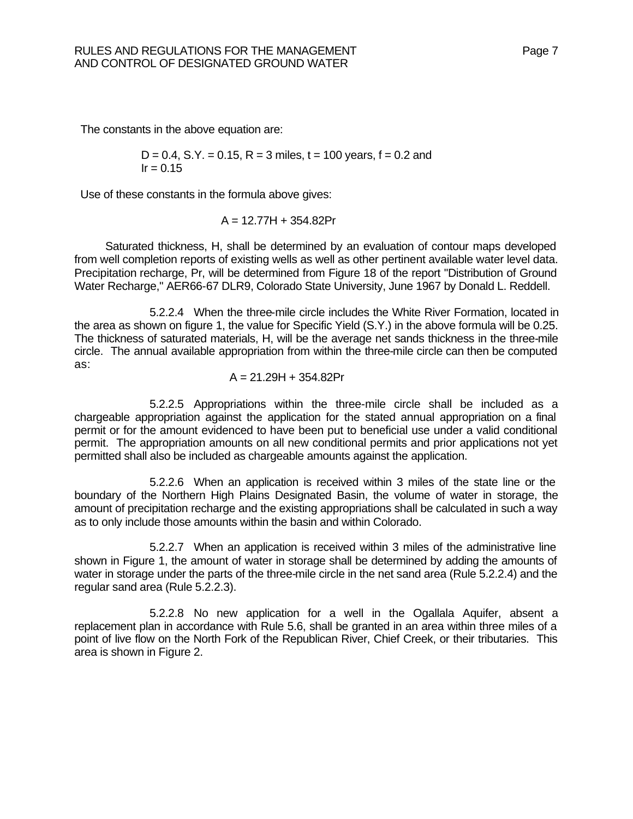The constants in the above equation are:

$$
D = 0.4
$$
, S.Y. = 0.15, R = 3 miles, t = 100 years, f = 0.2 and  
Ir = 0.15

Use of these constants in the formula above gives:

$$
A = 12.77H + 354.82Pr
$$

Saturated thickness, H, shall be determined by an evaluation of contour maps developed from well completion reports of existing wells as well as other pertinent available water level data. Precipitation recharge, Pr, will be determined from Figure 18 of the report "Distribution of Ground Water Recharge," AER66-67 DLR9, Colorado State University, June 1967 by Donald L. Reddell.

5.2.2.4 When the three-mile circle includes the White River Formation, located in the area as shown on figure 1, the value for Specific Yield (S.Y.) in the above formula will be 0.25. The thickness of saturated materials, H, will be the average net sands thickness in the three-mile circle. The annual available appropriation from within the three-mile circle can then be computed as:

$$
A = 21.29H + 354.82Pr
$$

5.2.2.5 Appropriations within the three-mile circle shall be included as a chargeable appropriation against the application for the stated annual appropriation on a final permit or for the amount evidenced to have been put to beneficial use under a valid conditional permit. The appropriation amounts on all new conditional permits and prior applications not yet permitted shall also be included as chargeable amounts against the application.

5.2.2.6 When an application is received within 3 miles of the state line or the boundary of the Northern High Plains Designated Basin, the volume of water in storage, the amount of precipitation recharge and the existing appropriations shall be calculated in such a way as to only include those amounts within the basin and within Colorado.

5.2.2.7 When an application is received within 3 miles of the administrative line shown in Figure 1, the amount of water in storage shall be determined by adding the amounts of water in storage under the parts of the three-mile circle in the net sand area (Rule 5.2.2.4) and the regular sand area (Rule 5.2.2.3).

5.2.2.8 No new application for a well in the Ogallala Aquifer, absent a replacement plan in accordance with Rule 5.6, shall be granted in an area within three miles of a point of live flow on the North Fork of the Republican River, Chief Creek, or their tributaries. This area is shown in Figure 2.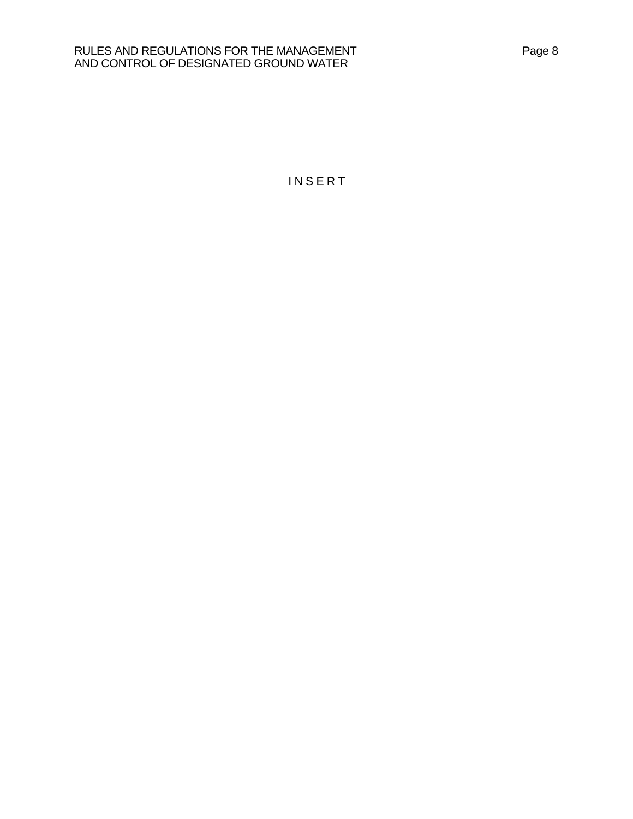#### RULES AND REGULATIONS FOR THE MANAGEMENT **Page 8** AND CONTROL OF DESIGNATED GROUND WATER

I N S E R T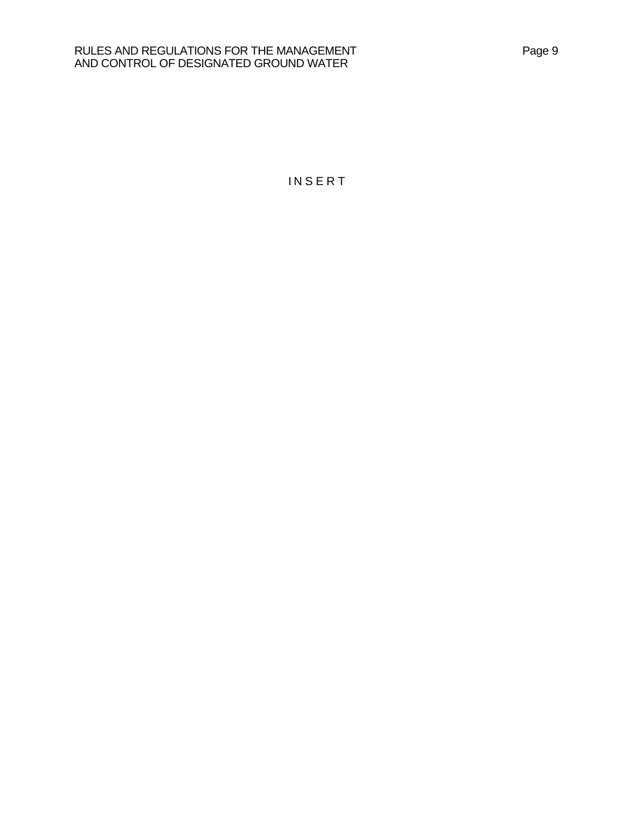#### RULES AND REGULATIONS FOR THE MANAGEMENT **Page 9** Page 9 AND CONTROL OF DESIGNATED GROUND WATER

**INSERT**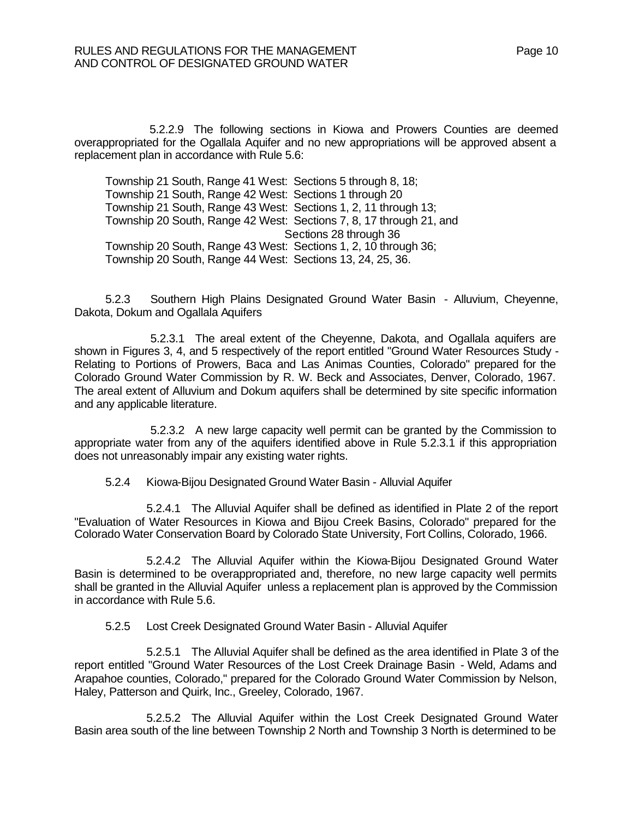5.2.2.9 The following sections in Kiowa and Prowers Counties are deemed overappropriated for the Ogallala Aquifer and no new appropriations will be approved absent a replacement plan in accordance with Rule 5.6:

Township 21 South, Range 41 West: Sections 5 through 8, 18; Township 21 South, Range 42 West: Sections 1 through 20 Township 21 South, Range 43 West: Sections 1, 2, 11 through 13; Township 20 South, Range 42 West: Sections 7, 8, 17 through 21, and Sections 28 through 36 Township 20 South, Range 43 West: Sections 1, 2, 10 through 36; Township 20 South, Range 44 West: Sections 13, 24, 25, 36.

5.2.3 Southern High Plains Designated Ground Water Basin - Alluvium, Cheyenne, Dakota, Dokum and Ogallala Aquifers

5.2.3.1 The areal extent of the Cheyenne, Dakota, and Ogallala aquifers are shown in Figures 3, 4, and 5 respectively of the report entitled "Ground Water Resources Study - Relating to Portions of Prowers, Baca and Las Animas Counties, Colorado" prepared for the Colorado Ground Water Commission by R. W. Beck and Associates, Denver, Colorado, 1967. The areal extent of Alluvium and Dokum aquifers shall be determined by site specific information and any applicable literature.

5.2.3.2 A new large capacity well permit can be granted by the Commission to appropriate water from any of the aquifers identified above in Rule 5.2.3.1 if this appropriation does not unreasonably impair any existing water rights.

5.2.4 Kiowa-Bijou Designated Ground Water Basin - Alluvial Aquifer

5.2.4.1 The Alluvial Aquifer shall be defined as identified in Plate 2 of the report "Evaluation of Water Resources in Kiowa and Bijou Creek Basins, Colorado" prepared for the Colorado Water Conservation Board by Colorado State University, Fort Collins, Colorado, 1966.

5.2.4.2 The Alluvial Aquifer within the Kiowa-Bijou Designated Ground Water Basin is determined to be overappropriated and, therefore, no new large capacity well permits shall be granted in the Alluvial Aquifer unless a replacement plan is approved by the Commission in accordance with Rule 5.6.

5.2.5 Lost Creek Designated Ground Water Basin - Alluvial Aquifer

5.2.5.1 The Alluvial Aquifer shall be defined as the area identified in Plate 3 of the report entitled "Ground Water Resources of the Lost Creek Drainage Basin - Weld, Adams and Arapahoe counties, Colorado," prepared for the Colorado Ground Water Commission by Nelson, Haley, Patterson and Quirk, Inc., Greeley, Colorado, 1967.

5.2.5.2 The Alluvial Aquifer within the Lost Creek Designated Ground Water Basin area south of the line between Township 2 North and Township 3 North is determined to be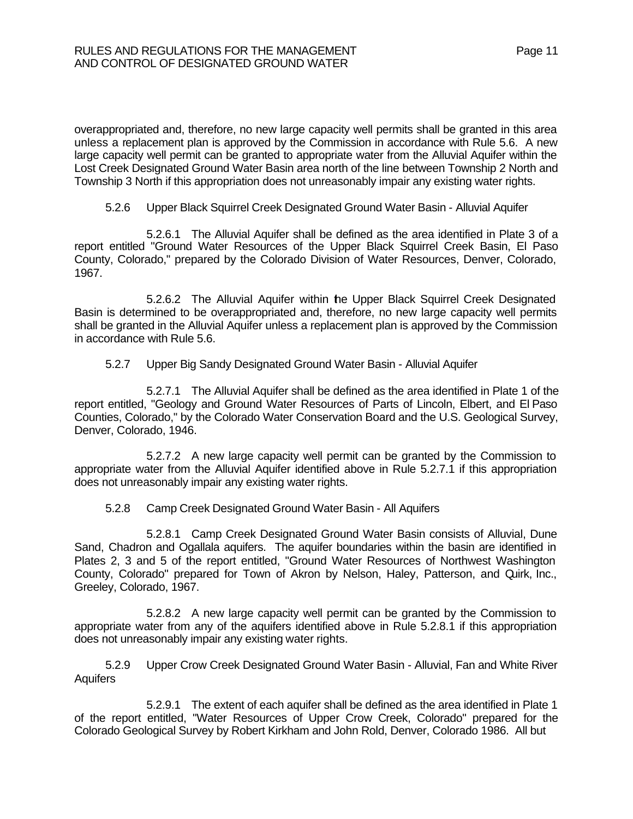overappropriated and, therefore, no new large capacity well permits shall be granted in this area unless a replacement plan is approved by the Commission in accordance with Rule 5.6. A new large capacity well permit can be granted to appropriate water from the Alluvial Aquifer within the Lost Creek Designated Ground Water Basin area north of the line between Township 2 North and Township 3 North if this appropriation does not unreasonably impair any existing water rights.

#### 5.2.6 Upper Black Squirrel Creek Designated Ground Water Basin - Alluvial Aquifer

5.2.6.1 The Alluvial Aquifer shall be defined as the area identified in Plate 3 of a report entitled "Ground Water Resources of the Upper Black Squirrel Creek Basin, El Paso County, Colorado," prepared by the Colorado Division of Water Resources, Denver, Colorado, 1967.

5.2.6.2 The Alluvial Aquifer within the Upper Black Squirrel Creek Designated Basin is determined to be overappropriated and, therefore, no new large capacity well permits shall be granted in the Alluvial Aquifer unless a replacement plan is approved by the Commission in accordance with Rule 5.6.

#### 5.2.7 Upper Big Sandy Designated Ground Water Basin - Alluvial Aquifer

5.2.7.1 The Alluvial Aquifer shall be defined as the area identified in Plate 1 of the report entitled, "Geology and Ground Water Resources of Parts of Lincoln, Elbert, and El Paso Counties, Colorado," by the Colorado Water Conservation Board and the U.S. Geological Survey, Denver, Colorado, 1946.

5.2.7.2 A new large capacity well permit can be granted by the Commission to appropriate water from the Alluvial Aquifer identified above in Rule 5.2.7.1 if this appropriation does not unreasonably impair any existing water rights.

## 5.2.8 Camp Creek Designated Ground Water Basin - All Aquifers

5.2.8.1 Camp Creek Designated Ground Water Basin consists of Alluvial, Dune Sand, Chadron and Ogallala aquifers. The aquifer boundaries within the basin are identified in Plates 2, 3 and 5 of the report entitled, "Ground Water Resources of Northwest Washington County, Colorado" prepared for Town of Akron by Nelson, Haley, Patterson, and Quirk, Inc., Greeley, Colorado, 1967.

5.2.8.2 A new large capacity well permit can be granted by the Commission to appropriate water from any of the aquifers identified above in Rule 5.2.8.1 if this appropriation does not unreasonably impair any existing water rights.

5.2.9 Upper Crow Creek Designated Ground Water Basin - Alluvial, Fan and White River **Aquifers** 

5.2.9.1 The extent of each aquifer shall be defined as the area identified in Plate 1 of the report entitled, "Water Resources of Upper Crow Creek, Colorado" prepared for the Colorado Geological Survey by Robert Kirkham and John Rold, Denver, Colorado 1986. All but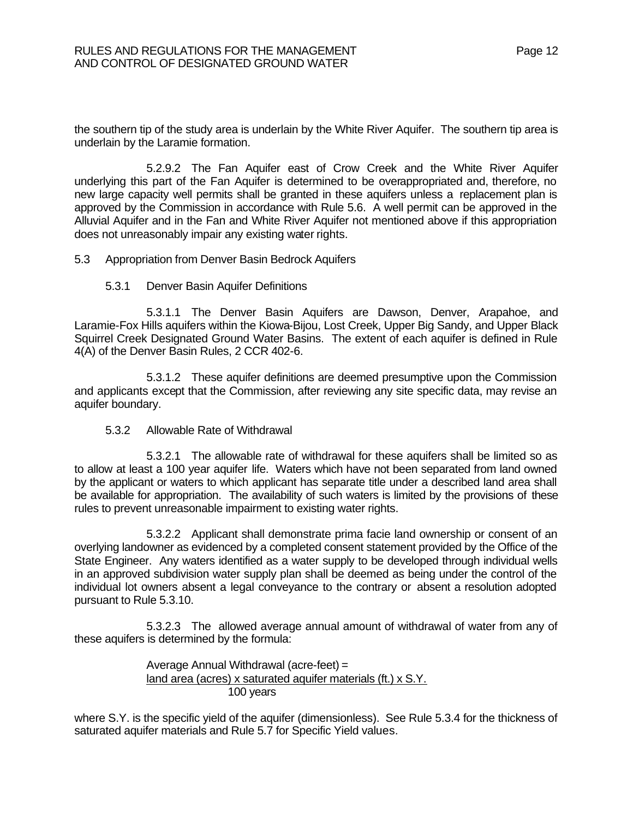the southern tip of the study area is underlain by the White River Aquifer. The southern tip area is underlain by the Laramie formation.

5.2.9.2 The Fan Aquifer east of Crow Creek and the White River Aquifer underlying this part of the Fan Aquifer is determined to be overappropriated and, therefore, no new large capacity well permits shall be granted in these aquifers unless a replacement plan is approved by the Commission in accordance with Rule 5.6. A well permit can be approved in the Alluvial Aquifer and in the Fan and White River Aquifer not mentioned above if this appropriation does not unreasonably impair any existing water rights.

5.3 Appropriation from Denver Basin Bedrock Aquifers

5.3.1 Denver Basin Aquifer Definitions

5.3.1.1 The Denver Basin Aquifers are Dawson, Denver, Arapahoe, and Laramie-Fox Hills aquifers within the Kiowa-Bijou, Lost Creek, Upper Big Sandy, and Upper Black Squirrel Creek Designated Ground Water Basins. The extent of each aquifer is defined in Rule 4(A) of the Denver Basin Rules, 2 CCR 402-6.

5.3.1.2 These aquifer definitions are deemed presumptive upon the Commission and applicants except that the Commission, after reviewing any site specific data, may revise an aquifer boundary.

5.3.2 Allowable Rate of Withdrawal

5.3.2.1 The allowable rate of withdrawal for these aquifers shall be limited so as to allow at least a 100 year aquifer life. Waters which have not been separated from land owned by the applicant or waters to which applicant has separate title under a described land area shall be available for appropriation. The availability of such waters is limited by the provisions of these rules to prevent unreasonable impairment to existing water rights.

5.3.2.2 Applicant shall demonstrate prima facie land ownership or consent of an overlying landowner as evidenced by a completed consent statement provided by the Office of the State Engineer. Any waters identified as a water supply to be developed through individual wells in an approved subdivision water supply plan shall be deemed as being under the control of the individual lot owners absent a legal conveyance to the contrary or absent a resolution adopted pursuant to Rule 5.3.10.

5.3.2.3 The allowed average annual amount of withdrawal of water from any of these aquifers is determined by the formula:

> Average Annual Withdrawal (acre-feet) = land area (acres) x saturated aquifer materials (ft.) x S.Y. 100 years

where S.Y. is the specific yield of the aquifer (dimensionless). See Rule 5.3.4 for the thickness of saturated aquifer materials and Rule 5.7 for Specific Yield values.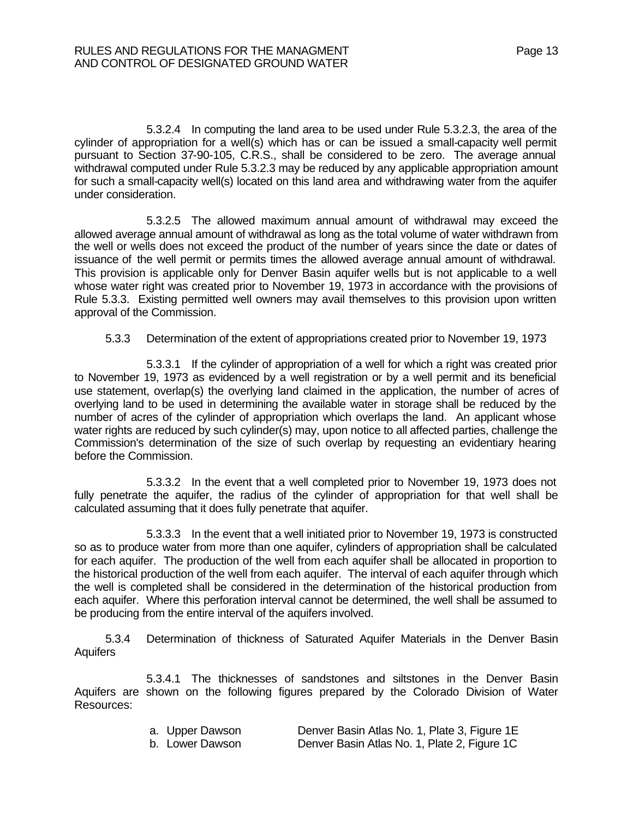5.3.2.4 In computing the land area to be used under Rule 5.3.2.3, the area of the cylinder of appropriation for a well(s) which has or can be issued a small-capacity well permit pursuant to Section 37-90-105, C.R.S., shall be considered to be zero. The average annual withdrawal computed under Rule 5.3.2.3 may be reduced by any applicable appropriation amount for such a small-capacity well(s) located on this land area and withdrawing water from the aquifer under consideration.

5.3.2.5 The allowed maximum annual amount of withdrawal may exceed the allowed average annual amount of withdrawal as long as the total volume of water withdrawn from the well or wells does not exceed the product of the number of years since the date or dates of issuance of the well permit or permits times the allowed average annual amount of withdrawal. This provision is applicable only for Denver Basin aquifer wells but is not applicable to a well whose water right was created prior to November 19, 1973 in accordance with the provisions of Rule 5.3.3. Existing permitted well owners may avail themselves to this provision upon written approval of the Commission.

5.3.3 Determination of the extent of appropriations created prior to November 19, 1973

5.3.3.1 If the cylinder of appropriation of a well for which a right was created prior to November 19, 1973 as evidenced by a well registration or by a well permit and its beneficial use statement, overlap(s) the overlying land claimed in the application, the number of acres of overlying land to be used in determining the available water in storage shall be reduced by the number of acres of the cylinder of appropriation which overlaps the land. An applicant whose water rights are reduced by such cylinder(s) may, upon notice to all affected parties, challenge the Commission's determination of the size of such overlap by requesting an evidentiary hearing before the Commission.

5.3.3.2 In the event that a well completed prior to November 19, 1973 does not fully penetrate the aquifer, the radius of the cylinder of appropriation for that well shall be calculated assuming that it does fully penetrate that aquifer.

5.3.3.3 In the event that a well initiated prior to November 19, 1973 is constructed so as to produce water from more than one aquifer, cylinders of appropriation shall be calculated for each aquifer. The production of the well from each aquifer shall be allocated in proportion to the historical production of the well from each aquifer. The interval of each aquifer through which the well is completed shall be considered in the determination of the historical production from each aquifer. Where this perforation interval cannot be determined, the well shall be assumed to be producing from the entire interval of the aquifers involved.

5.3.4 Determination of thickness of Saturated Aquifer Materials in the Denver Basin Aquifers

5.3.4.1 The thicknesses of sandstones and siltstones in the Denver Basin Aquifers are shown on the following figures prepared by the Colorado Division of Water Resources:

| a. Upper Dawson | Denver Basin Atlas No. 1, Plate 3, Figure 1E |
|-----------------|----------------------------------------------|
| b. Lower Dawson | Denver Basin Atlas No. 1, Plate 2, Figure 1C |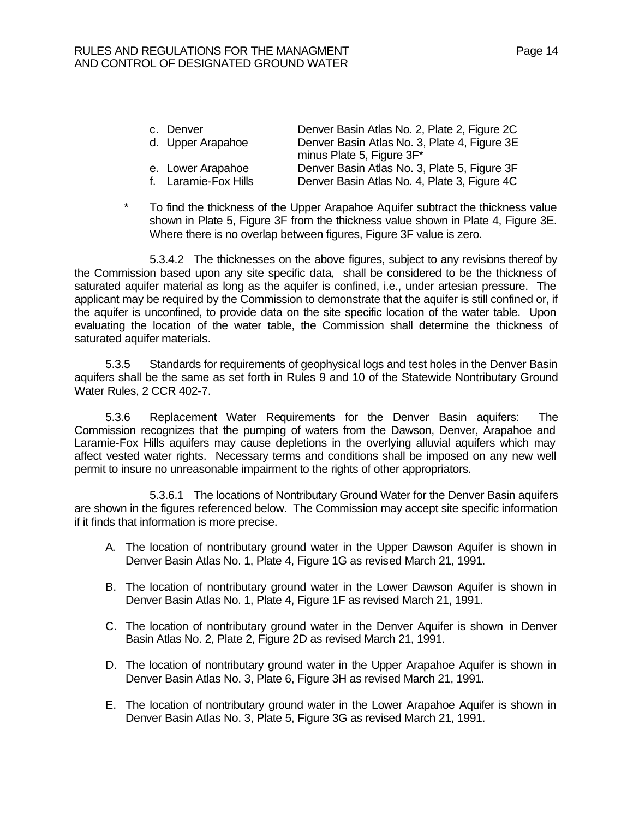| c. Denver            | Denver Basin Atlas No. 2, Plate 2, Figure 2C |
|----------------------|----------------------------------------------|
| d. Upper Arapahoe    | Denver Basin Atlas No. 3, Plate 4, Figure 3E |
|                      | minus Plate 5, Figure 3F*                    |
| e. Lower Arapahoe    | Denver Basin Atlas No. 3, Plate 5, Figure 3F |
| f. Laramie-Fox Hills | Denver Basin Atlas No. 4, Plate 3, Figure 4C |

 \* To find the thickness of the Upper Arapahoe Aquifer subtract the thickness value shown in Plate 5, Figure 3F from the thickness value shown in Plate 4, Figure 3E. Where there is no overlap between figures, Figure 3F value is zero.

5.3.4.2 The thicknesses on the above figures, subject to any revisions thereof by the Commission based upon any site specific data, shall be considered to be the thickness of saturated aquifer material as long as the aquifer is confined, i.e., under artesian pressure. The applicant may be required by the Commission to demonstrate that the aquifer is still confined or, if the aquifer is unconfined, to provide data on the site specific location of the water table. Upon evaluating the location of the water table, the Commission shall determine the thickness of saturated aquifer materials.

5.3.5 Standards for requirements of geophysical logs and test holes in the Denver Basin aquifers shall be the same as set forth in Rules 9 and 10 of the Statewide Nontributary Ground Water Rules, 2 CCR 402-7.

5.3.6 Replacement Water Requirements for the Denver Basin aquifers: The Commission recognizes that the pumping of waters from the Dawson, Denver, Arapahoe and Laramie-Fox Hills aquifers may cause depletions in the overlying alluvial aquifers which may affect vested water rights. Necessary terms and conditions shall be imposed on any new well permit to insure no unreasonable impairment to the rights of other appropriators.

5.3.6.1 The locations of Nontributary Ground Water for the Denver Basin aquifers are shown in the figures referenced below. The Commission may accept site specific information if it finds that information is more precise.

- A. The location of nontributary ground water in the Upper Dawson Aquifer is shown in Denver Basin Atlas No. 1, Plate 4, Figure 1G as revised March 21, 1991.
- B. The location of nontributary ground water in the Lower Dawson Aquifer is shown in Denver Basin Atlas No. 1, Plate 4, Figure 1F as revised March 21, 1991.
- C. The location of nontributary ground water in the Denver Aquifer is shown in Denver Basin Atlas No. 2, Plate 2, Figure 2D as revised March 21, 1991.
- D. The location of nontributary ground water in the Upper Arapahoe Aquifer is shown in Denver Basin Atlas No. 3, Plate 6, Figure 3H as revised March 21, 1991.
- E. The location of nontributary ground water in the Lower Arapahoe Aquifer is shown in Denver Basin Atlas No. 3, Plate 5, Figure 3G as revised March 21, 1991.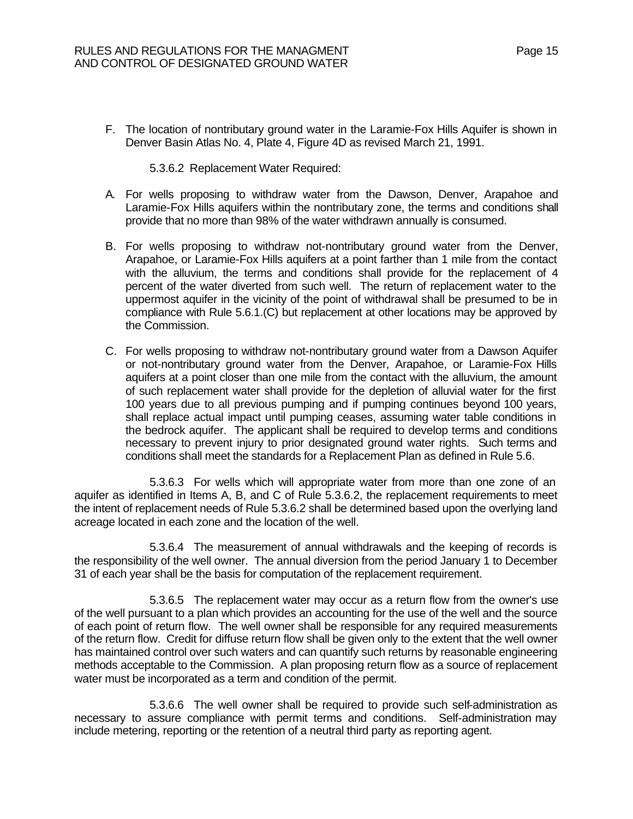F. The location of nontributary ground water in the Laramie-Fox Hills Aquifer is shown in Denver Basin Atlas No. 4, Plate 4, Figure 4D as revised March 21, 1991.

5.3.6.2 Replacement Water Required:

- A. For wells proposing to withdraw water from the Dawson, Denver, Arapahoe and Laramie-Fox Hills aquifers within the nontributary zone, the terms and conditions shall provide that no more than 98% of the water withdrawn annually is consumed.
- B. For wells proposing to withdraw not-nontributary ground water from the Denver, Arapahoe, or Laramie-Fox Hills aquifers at a point farther than 1 mile from the contact with the alluvium, the terms and conditions shall provide for the replacement of 4 percent of the water diverted from such well. The return of replacement water to the uppermost aquifer in the vicinity of the point of withdrawal shall be presumed to be in compliance with Rule 5.6.1.(C) but replacement at other locations may be approved by the Commission.
- C. For wells proposing to withdraw not-nontributary ground water from a Dawson Aquifer or not-nontributary ground water from the Denver, Arapahoe, or Laramie-Fox Hills aquifers at a point closer than one mile from the contact with the alluvium, the amount of such replacement water shall provide for the depletion of alluvial water for the first 100 years due to all previous pumping and if pumping continues beyond 100 years, shall replace actual impact until pumping ceases, assuming water table conditions in the bedrock aquifer. The applicant shall be required to develop terms and conditions necessary to prevent injury to prior designated ground water rights. Such terms and conditions shall meet the standards for a Replacement Plan as defined in Rule 5.6.

5.3.6.3 For wells which will appropriate water from more than one zone of an aquifer as identified in Items A, B, and C of Rule 5.3.6.2, the replacement requirements to meet the intent of replacement needs of Rule 5.3.6.2 shall be determined based upon the overlying land acreage located in each zone and the location of the well.

5.3.6.4 The measurement of annual withdrawals and the keeping of records is the responsibility of the well owner. The annual diversion from the period January 1 to December 31 of each year shall be the basis for computation of the replacement requirement.

5.3.6.5 The replacement water may occur as a return flow from the owner's use of the well pursuant to a plan which provides an accounting for the use of the well and the source of each point of return flow. The well owner shall be responsible for any required measurements of the return flow. Credit for diffuse return flow shall be given only to the extent that the well owner has maintained control over such waters and can quantify such returns by reasonable engineering methods acceptable to the Commission. A plan proposing return flow as a source of replacement water must be incorporated as a term and condition of the permit.

5.3.6.6 The well owner shall be required to provide such self-administration as necessary to assure compliance with permit terms and conditions. Self-administration may include metering, reporting or the retention of a neutral third party as reporting agent.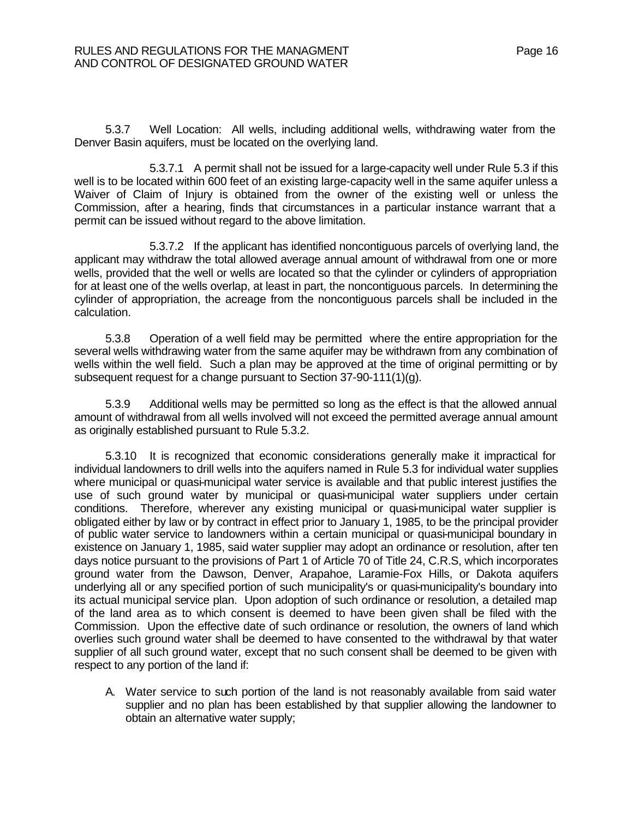5.3.7 Well Location: All wells, including additional wells, withdrawing water from the Denver Basin aquifers, must be located on the overlying land.

5.3.7.1 A permit shall not be issued for a large-capacity well under Rule 5.3 if this well is to be located within 600 feet of an existing large-capacity well in the same aquifer unless a Waiver of Claim of Injury is obtained from the owner of the existing well or unless the Commission, after a hearing, finds that circumstances in a particular instance warrant that a permit can be issued without regard to the above limitation.

5.3.7.2 If the applicant has identified noncontiguous parcels of overlying land, the applicant may withdraw the total allowed average annual amount of withdrawal from one or more wells, provided that the well or wells are located so that the cylinder or cylinders of appropriation for at least one of the wells overlap, at least in part, the noncontiguous parcels. In determining the cylinder of appropriation, the acreage from the noncontiguous parcels shall be included in the calculation.

5.3.8 Operation of a well field may be permitted where the entire appropriation for the several wells withdrawing water from the same aquifer may be withdrawn from any combination of wells within the well field. Such a plan may be approved at the time of original permitting or by subsequent request for a change pursuant to Section 37-90-111(1)(g).

5.3.9 Additional wells may be permitted so long as the effect is that the allowed annual amount of withdrawal from all wells involved will not exceed the permitted average annual amount as originally established pursuant to Rule 5.3.2.

5.3.10 It is recognized that economic considerations generally make it impractical for individual landowners to drill wells into the aquifers named in Rule 5.3 for individual water supplies where municipal or quasi-municipal water service is available and that public interest justifies the use of such ground water by municipal or quasi-municipal water suppliers under certain conditions. Therefore, wherever any existing municipal or quasi-municipal water supplier is obligated either by law or by contract in effect prior to January 1, 1985, to be the principal provider of public water service to landowners within a certain municipal or quasi-municipal boundary in existence on January 1, 1985, said water supplier may adopt an ordinance or resolution, after ten days notice pursuant to the provisions of Part 1 of Article 70 of Title 24, C.R.S, which incorporates ground water from the Dawson, Denver, Arapahoe, Laramie-Fox Hills, or Dakota aquifers underlying all or any specified portion of such municipality's or quasi-municipality's boundary into its actual municipal service plan. Upon adoption of such ordinance or resolution, a detailed map of the land area as to which consent is deemed to have been given shall be filed with the Commission. Upon the effective date of such ordinance or resolution, the owners of land which overlies such ground water shall be deemed to have consented to the withdrawal by that water supplier of all such ground water, except that no such consent shall be deemed to be given with respect to any portion of the land if:

A. Water service to such portion of the land is not reasonably available from said water supplier and no plan has been established by that supplier allowing the landowner to obtain an alternative water supply;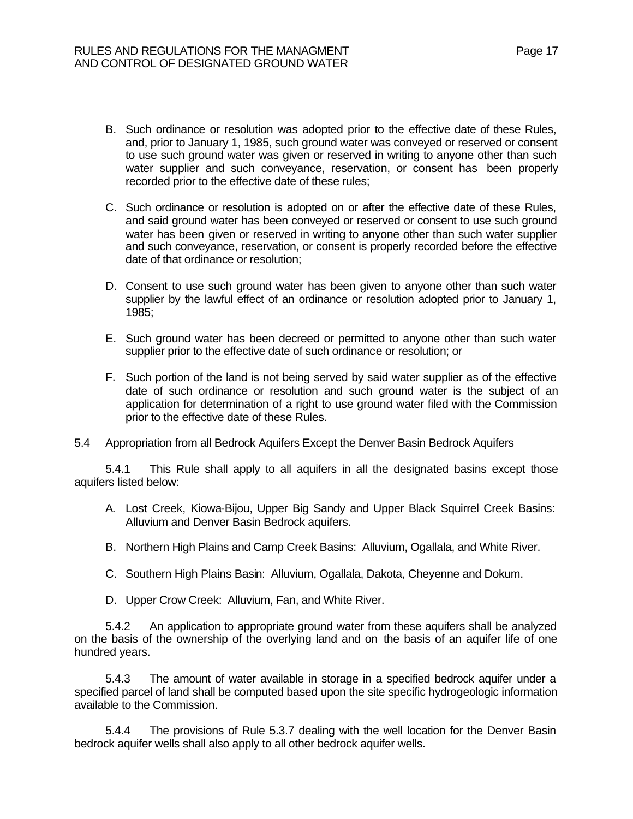- B. Such ordinance or resolution was adopted prior to the effective date of these Rules, and, prior to January 1, 1985, such ground water was conveyed or reserved or consent to use such ground water was given or reserved in writing to anyone other than such water supplier and such conveyance, reservation, or consent has been properly recorded prior to the effective date of these rules;
- C. Such ordinance or resolution is adopted on or after the effective date of these Rules, and said ground water has been conveyed or reserved or consent to use such ground water has been given or reserved in writing to anyone other than such water supplier and such conveyance, reservation, or consent is properly recorded before the effective date of that ordinance or resolution;
- D. Consent to use such ground water has been given to anyone other than such water supplier by the lawful effect of an ordinance or resolution adopted prior to January 1, 1985;
- E. Such ground water has been decreed or permitted to anyone other than such water supplier prior to the effective date of such ordinance or resolution; or
- F. Such portion of the land is not being served by said water supplier as of the effective date of such ordinance or resolution and such ground water is the subject of an application for determination of a right to use ground water filed with the Commission prior to the effective date of these Rules.
- 5.4 Appropriation from all Bedrock Aquifers Except the Denver Basin Bedrock Aquifers

5.4.1 This Rule shall apply to all aquifers in all the designated basins except those aquifers listed below:

- A. Lost Creek, Kiowa-Bijou, Upper Big Sandy and Upper Black Squirrel Creek Basins: Alluvium and Denver Basin Bedrock aquifers.
- B. Northern High Plains and Camp Creek Basins: Alluvium, Ogallala, and White River.
- C. Southern High Plains Basin: Alluvium, Ogallala, Dakota, Cheyenne and Dokum.
- D. Upper Crow Creek: Alluvium, Fan, and White River.

5.4.2 An application to appropriate ground water from these aquifers shall be analyzed on the basis of the ownership of the overlying land and on the basis of an aquifer life of one hundred years.

5.4.3 The amount of water available in storage in a specified bedrock aquifer under a specified parcel of land shall be computed based upon the site specific hydrogeologic information available to the Commission.

5.4.4 The provisions of Rule 5.3.7 dealing with the well location for the Denver Basin bedrock aquifer wells shall also apply to all other bedrock aquifer wells.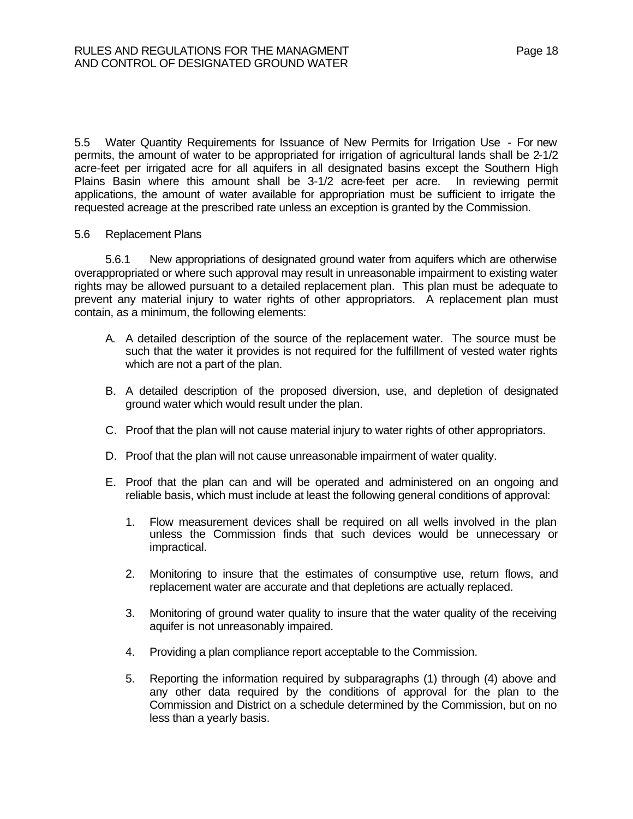5.5 Water Quantity Requirements for Issuance of New Permits for Irrigation Use - For new permits, the amount of water to be appropriated for irrigation of agricultural lands shall be 2-1/2 acre-feet per irrigated acre for all aquifers in all designated basins except the Southern High Plains Basin where this amount shall be 3-1/2 acre-feet per acre. In reviewing permit applications, the amount of water available for appropriation must be sufficient to irrigate the requested acreage at the prescribed rate unless an exception is granted by the Commission.

#### 5.6 Replacement Plans

5.6.1 New appropriations of designated ground water from aquifers which are otherwise overappropriated or where such approval may result in unreasonable impairment to existing water rights may be allowed pursuant to a detailed replacement plan. This plan must be adequate to prevent any material injury to water rights of other appropriators. A replacement plan must contain, as a minimum, the following elements:

- A. A detailed description of the source of the replacement water. The source must be such that the water it provides is not required for the fulfillment of vested water rights which are not a part of the plan.
- B. A detailed description of the proposed diversion, use, and depletion of designated ground water which would result under the plan.
- C. Proof that the plan will not cause material injury to water rights of other appropriators.
- D. Proof that the plan will not cause unreasonable impairment of water quality.
- E. Proof that the plan can and will be operated and administered on an ongoing and reliable basis, which must include at least the following general conditions of approval:
	- 1. Flow measurement devices shall be required on all wells involved in the plan unless the Commission finds that such devices would be unnecessary or impractical.
	- 2. Monitoring to insure that the estimates of consumptive use, return flows, and replacement water are accurate and that depletions are actually replaced.
	- 3. Monitoring of ground water quality to insure that the water quality of the receiving aquifer is not unreasonably impaired.
	- 4. Providing a plan compliance report acceptable to the Commission.
	- 5. Reporting the information required by subparagraphs (1) through (4) above and any other data required by the conditions of approval for the plan to the Commission and District on a schedule determined by the Commission, but on no less than a yearly basis.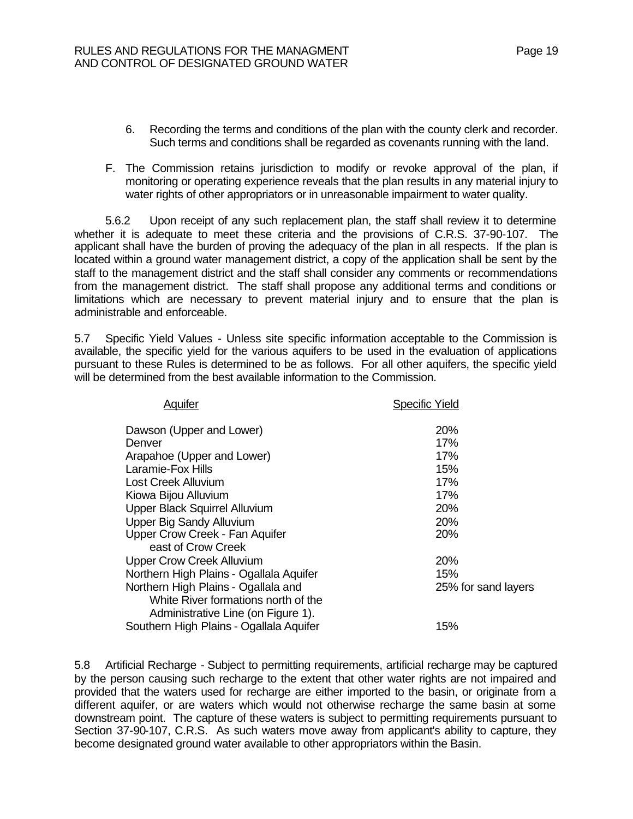- 6. Recording the terms and conditions of the plan with the county clerk and recorder. Such terms and conditions shall be regarded as covenants running with the land.
- F. The Commission retains jurisdiction to modify or revoke approval of the plan, if monitoring or operating experience reveals that the plan results in any material injury to water rights of other appropriators or in unreasonable impairment to water quality.

5.6.2 Upon receipt of any such replacement plan, the staff shall review it to determine whether it is adequate to meet these criteria and the provisions of C.R.S. 37-90-107. The applicant shall have the burden of proving the adequacy of the plan in all respects. If the plan is located within a ground water management district, a copy of the application shall be sent by the staff to the management district and the staff shall consider any comments or recommendations from the management district. The staff shall propose any additional terms and conditions or limitations which are necessary to prevent material injury and to ensure that the plan is administrable and enforceable.

5.7 Specific Yield Values - Unless site specific information acceptable to the Commission is available, the specific yield for the various aquifers to be used in the evaluation of applications pursuant to these Rules is determined to be as follows. For all other aquifers, the specific yield will be determined from the best available information to the Commission.

| Aquifer                                 | <b>Specific Yield</b> |
|-----------------------------------------|-----------------------|
| Dawson (Upper and Lower)                | 20%                   |
| Denver                                  | 17%                   |
| Arapahoe (Upper and Lower)              | 17%                   |
| Laramie-Fox Hills                       | 15%                   |
| Lost Creek Alluvium                     | 17%                   |
| Kiowa Bijou Alluvium                    | 17%                   |
| Upper Black Squirrel Alluvium           | 20%                   |
| <b>Upper Big Sandy Alluvium</b>         | <b>20%</b>            |
| Upper Crow Creek - Fan Aquifer          | 20%                   |
| east of Crow Creek                      |                       |
| <b>Upper Crow Creek Alluvium</b>        | <b>20%</b>            |
| Northern High Plains - Ogallala Aquifer | 15%                   |
| Northern High Plains - Ogallala and     | 25% for sand layers   |
| White River formations north of the     |                       |
| Administrative Line (on Figure 1).      |                       |
| Southern High Plains - Ogallala Aquifer | 15%                   |

5.8 Artificial Recharge - Subject to permitting requirements, artificial recharge may be captured by the person causing such recharge to the extent that other water rights are not impaired and provided that the waters used for recharge are either imported to the basin, or originate from a different aquifer, or are waters which would not otherwise recharge the same basin at some downstream point. The capture of these waters is subject to permitting requirements pursuant to Section 37-90-107, C.R.S. As such waters move away from applicant's ability to capture, they become designated ground water available to other appropriators within the Basin.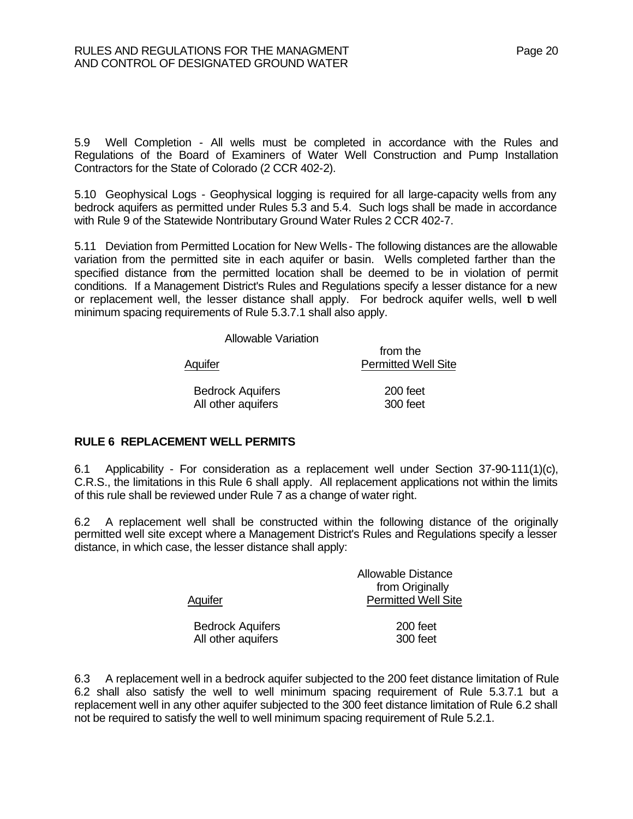5.9 Well Completion - All wells must be completed in accordance with the Rules and Regulations of the Board of Examiners of Water Well Construction and Pump Installation Contractors for the State of Colorado (2 CCR 402-2).

5.10 Geophysical Logs - Geophysical logging is required for all large-capacity wells from any bedrock aquifers as permitted under Rules 5.3 and 5.4. Such logs shall be made in accordance with Rule 9 of the Statewide Nontributary Ground Water Rules 2 CCR 402-7.

5.11 Deviation from Permitted Location for New Wells - The following distances are the allowable variation from the permitted site in each aquifer or basin. Wells completed farther than the specified distance from the permitted location shall be deemed to be in violation of permit conditions. If a Management District's Rules and Regulations specify a lesser distance for a new or replacement well, the lesser distance shall apply. For bedrock aquifer wells, well to well minimum spacing requirements of Rule 5.3.7.1 shall also apply.

Allowable Variation

Aquifer **Permitted Well Site** Bedrock Aquifers 200 feet All other aquifers 300 feet

from the

## **RULE 6 REPLACEMENT WELL PERMITS**

6.1 Applicability - For consideration as a replacement well under Section 37-90-111(1)(c), C.R.S., the limitations in this Rule 6 shall apply. All replacement applications not within the limits of this rule shall be reviewed under Rule 7 as a change of water right.

6.2 A replacement well shall be constructed within the following distance of the originally permitted well site except where a Management District's Rules and Regulations specify a lesser distance, in which case, the lesser distance shall apply:

|                         | <b>Allowable Distance</b>  |
|-------------------------|----------------------------|
|                         | from Originally            |
| Aquifer                 | <b>Permitted Well Site</b> |
| <b>Bedrock Aquifers</b> | 200 feet                   |
| All other aquifers      | 300 feet                   |

6.3 A replacement well in a bedrock aquifer subjected to the 200 feet distance limitation of Rule 6.2 shall also satisfy the well to well minimum spacing requirement of Rule 5.3.7.1 but a replacement well in any other aquifer subjected to the 300 feet distance limitation of Rule 6.2 shall not be required to satisfy the well to well minimum spacing requirement of Rule 5.2.1.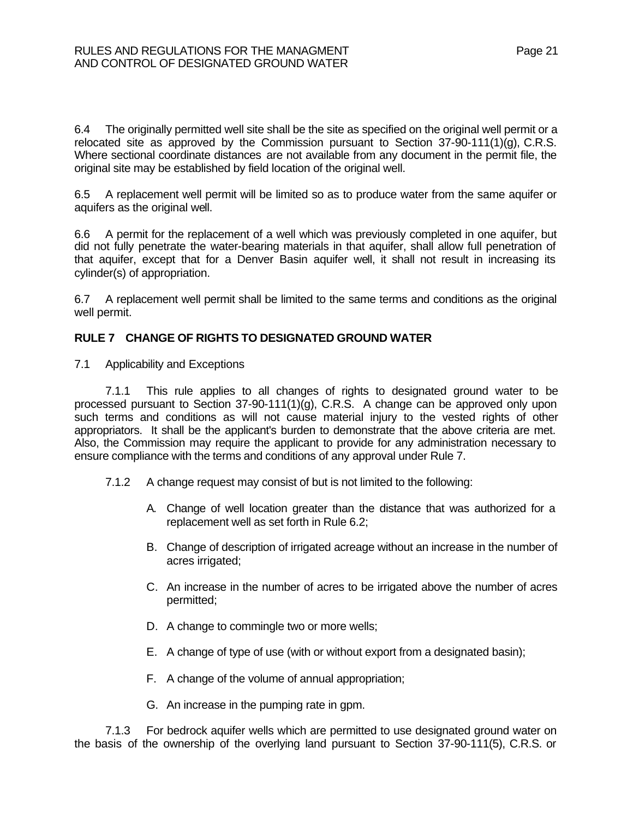6.4 The originally permitted well site shall be the site as specified on the original well permit or a relocated site as approved by the Commission pursuant to Section  $37-90-111(1)(q)$ , C.R.S. Where sectional coordinate distances are not available from any document in the permit file, the original site may be established by field location of the original well.

6.5 A replacement well permit will be limited so as to produce water from the same aquifer or aquifers as the original well.

6.6 A permit for the replacement of a well which was previously completed in one aquifer, but did not fully penetrate the water-bearing materials in that aquifer, shall allow full penetration of that aquifer, except that for a Denver Basin aquifer well, it shall not result in increasing its cylinder(s) of appropriation.

6.7 A replacement well permit shall be limited to the same terms and conditions as the original well permit.

## **RULE 7 CHANGE OF RIGHTS TO DESIGNATED GROUND WATER**

7.1 Applicability and Exceptions

7.1.1 This rule applies to all changes of rights to designated ground water to be processed pursuant to Section 37-90-111(1)(g), C.R.S. A change can be approved only upon such terms and conditions as will not cause material injury to the vested rights of other appropriators. It shall be the applicant's burden to demonstrate that the above criteria are met. Also, the Commission may require the applicant to provide for any administration necessary to ensure compliance with the terms and conditions of any approval under Rule 7.

- 7.1.2 A change request may consist of but is not limited to the following:
	- A. Change of well location greater than the distance that was authorized for a replacement well as set forth in Rule 6.2;
	- B. Change of description of irrigated acreage without an increase in the number of acres irrigated;
	- C. An increase in the number of acres to be irrigated above the number of acres permitted;
	- D. A change to commingle two or more wells;
	- E. A change of type of use (with or without export from a designated basin);
	- F. A change of the volume of annual appropriation;
	- G. An increase in the pumping rate in gpm.

7.1.3 For bedrock aquifer wells which are permitted to use designated ground water on the basis of the ownership of the overlying land pursuant to Section 37-90-111(5), C.R.S. or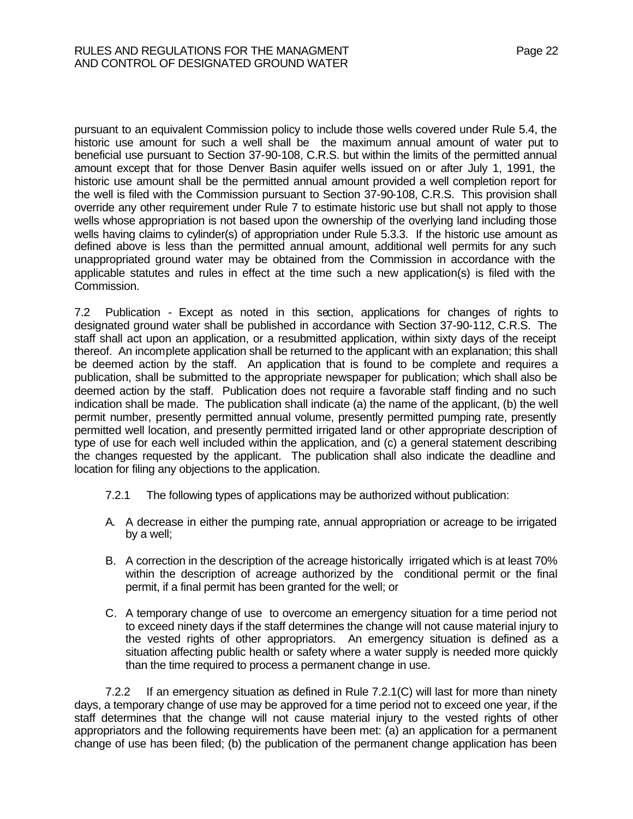pursuant to an equivalent Commission policy to include those wells covered under Rule 5.4, the historic use amount for such a well shall be the maximum annual amount of water put to beneficial use pursuant to Section 37-90-108, C.R.S. but within the limits of the permitted annual amount except that for those Denver Basin aquifer wells issued on or after July 1, 1991, the historic use amount shall be the permitted annual amount provided a well completion report for the well is filed with the Commission pursuant to Section 37-90-108, C.R.S. This provision shall override any other requirement under Rule 7 to estimate historic use but shall not apply to those wells whose appropriation is not based upon the ownership of the overlying land including those wells having claims to cylinder(s) of appropriation under Rule 5.3.3. If the historic use amount as defined above is less than the permitted annual amount, additional well permits for any such unappropriated ground water may be obtained from the Commission in accordance with the applicable statutes and rules in effect at the time such a new application(s) is filed with the Commission.

7.2 Publication - Except as noted in this section, applications for changes of rights to designated ground water shall be published in accordance with Section 37-90-112, C.R.S. The staff shall act upon an application, or a resubmitted application, within sixty days of the receipt thereof. An incomplete application shall be returned to the applicant with an explanation; this shall be deemed action by the staff. An application that is found to be complete and requires a publication, shall be submitted to the appropriate newspaper for publication; which shall also be deemed action by the staff. Publication does not require a favorable staff finding and no such indication shall be made. The publication shall indicate (a) the name of the applicant, (b) the well permit number, presently permitted annual volume, presently permitted pumping rate, presently permitted well location, and presently permitted irrigated land or other appropriate description of type of use for each well included within the application, and (c) a general statement describing the changes requested by the applicant. The publication shall also indicate the deadline and location for filing any objections to the application.

- 7.2.1 The following types of applications may be authorized without publication:
- A. A decrease in either the pumping rate, annual appropriation or acreage to be irrigated by a well;
- B. A correction in the description of the acreage historically irrigated which is at least 70% within the description of acreage authorized by the conditional permit or the final permit, if a final permit has been granted for the well; or
- C. A temporary change of use to overcome an emergency situation for a time period not to exceed ninety days if the staff determines the change will not cause material injury to the vested rights of other appropriators. An emergency situation is defined as a situation affecting public health or safety where a water supply is needed more quickly than the time required to process a permanent change in use.

7.2.2 If an emergency situation as defined in Rule 7.2.1(C) will last for more than ninety days, a temporary change of use may be approved for a time period not to exceed one year, if the staff determines that the change will not cause material injury to the vested rights of other appropriators and the following requirements have been met: (a) an application for a permanent change of use has been filed; (b) the publication of the permanent change application has been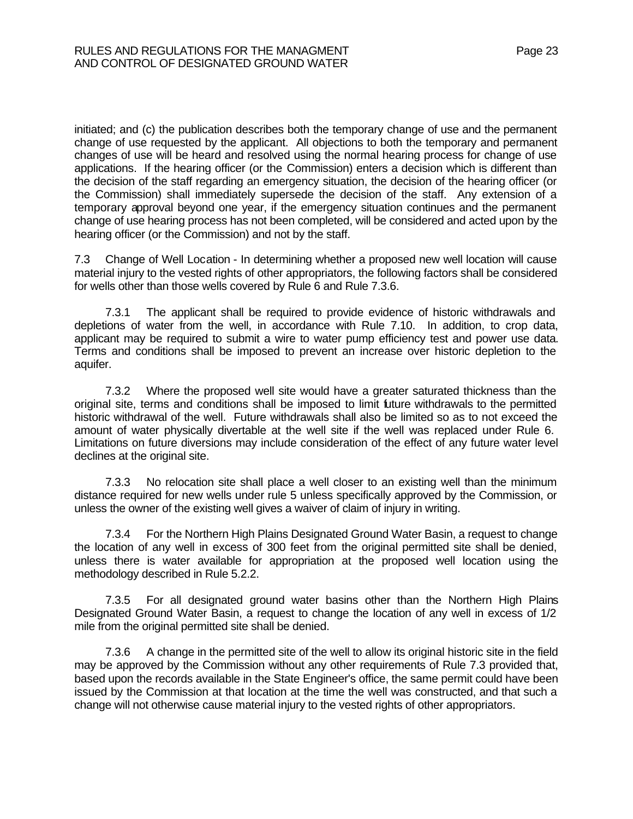initiated; and (c) the publication describes both the temporary change of use and the permanent change of use requested by the applicant. All objections to both the temporary and permanent changes of use will be heard and resolved using the normal hearing process for change of use applications. If the hearing officer (or the Commission) enters a decision which is different than the decision of the staff regarding an emergency situation, the decision of the hearing officer (or the Commission) shall immediately supersede the decision of the staff. Any extension of a temporary approval beyond one year, if the emergency situation continues and the permanent change of use hearing process has not been completed, will be considered and acted upon by the hearing officer (or the Commission) and not by the staff.

7.3 Change of Well Location - In determining whether a proposed new well location will cause material injury to the vested rights of other appropriators, the following factors shall be considered for wells other than those wells covered by Rule 6 and Rule 7.3.6.

7.3.1 The applicant shall be required to provide evidence of historic withdrawals and depletions of water from the well, in accordance with Rule 7.10. In addition, to crop data, applicant may be required to submit a wire to water pump efficiency test and power use data. Terms and conditions shall be imposed to prevent an increase over historic depletion to the aquifer.

7.3.2 Where the proposed well site would have a greater saturated thickness than the original site, terms and conditions shall be imposed to limit future withdrawals to the permitted historic withdrawal of the well. Future withdrawals shall also be limited so as to not exceed the amount of water physically divertable at the well site if the well was replaced under Rule 6. Limitations on future diversions may include consideration of the effect of any future water level declines at the original site.

7.3.3 No relocation site shall place a well closer to an existing well than the minimum distance required for new wells under rule 5 unless specifically approved by the Commission, or unless the owner of the existing well gives a waiver of claim of injury in writing.

7.3.4 For the Northern High Plains Designated Ground Water Basin, a request to change the location of any well in excess of 300 feet from the original permitted site shall be denied, unless there is water available for appropriation at the proposed well location using the methodology described in Rule 5.2.2.

7.3.5 For all designated ground water basins other than the Northern High Plains Designated Ground Water Basin, a request to change the location of any well in excess of 1/2 mile from the original permitted site shall be denied.

7.3.6 A change in the permitted site of the well to allow its original historic site in the field may be approved by the Commission without any other requirements of Rule 7.3 provided that, based upon the records available in the State Engineer's office, the same permit could have been issued by the Commission at that location at the time the well was constructed, and that such a change will not otherwise cause material injury to the vested rights of other appropriators.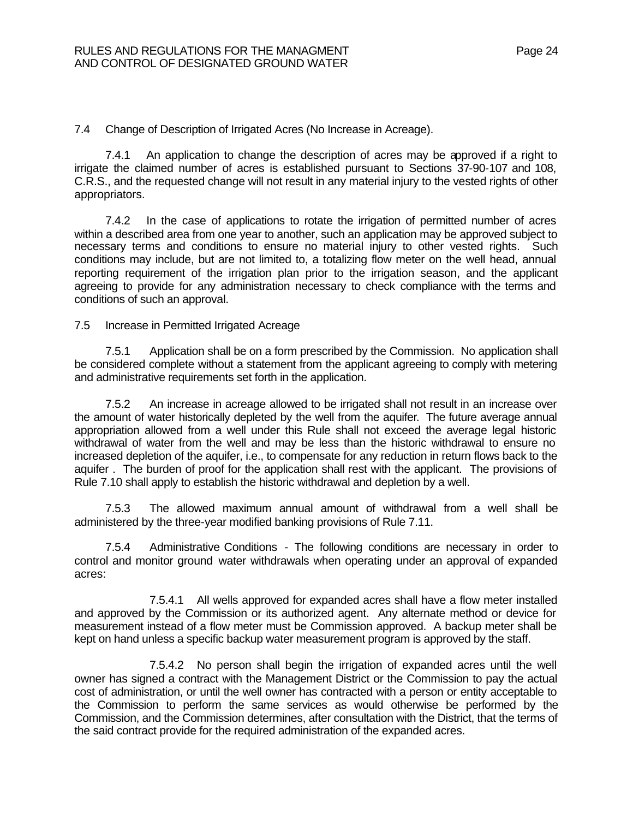7.4 Change of Description of Irrigated Acres (No Increase in Acreage).

7.4.1 An application to change the description of acres may be approved if a right to irrigate the claimed number of acres is established pursuant to Sections 37-90-107 and 108, C.R.S., and the requested change will not result in any material injury to the vested rights of other appropriators.

7.4.2 In the case of applications to rotate the irrigation of permitted number of acres within a described area from one year to another, such an application may be approved subject to necessary terms and conditions to ensure no material injury to other vested rights. Such conditions may include, but are not limited to, a totalizing flow meter on the well head, annual reporting requirement of the irrigation plan prior to the irrigation season, and the applicant agreeing to provide for any administration necessary to check compliance with the terms and conditions of such an approval.

7.5 Increase in Permitted Irrigated Acreage

7.5.1 Application shall be on a form prescribed by the Commission. No application shall be considered complete without a statement from the applicant agreeing to comply with metering and administrative requirements set forth in the application.

7.5.2 An increase in acreage allowed to be irrigated shall not result in an increase over the amount of water historically depleted by the well from the aquifer. The future average annual appropriation allowed from a well under this Rule shall not exceed the average legal historic withdrawal of water from the well and may be less than the historic withdrawal to ensure no increased depletion of the aquifer, i.e., to compensate for any reduction in return flows back to the aquifer . The burden of proof for the application shall rest with the applicant. The provisions of Rule 7.10 shall apply to establish the historic withdrawal and depletion by a well.

 7.5.3 The allowed maximum annual amount of withdrawal from a well shall be administered by the three-year modified banking provisions of Rule 7.11.

7.5.4 Administrative Conditions - The following conditions are necessary in order to control and monitor ground water withdrawals when operating under an approval of expanded acres:

7.5.4.1 All wells approved for expanded acres shall have a flow meter installed and approved by the Commission or its authorized agent. Any alternate method or device for measurement instead of a flow meter must be Commission approved. A backup meter shall be kept on hand unless a specific backup water measurement program is approved by the staff.

7.5.4.2 No person shall begin the irrigation of expanded acres until the well owner has signed a contract with the Management District or the Commission to pay the actual cost of administration, or until the well owner has contracted with a person or entity acceptable to the Commission to perform the same services as would otherwise be performed by the Commission, and the Commission determines, after consultation with the District, that the terms of the said contract provide for the required administration of the expanded acres.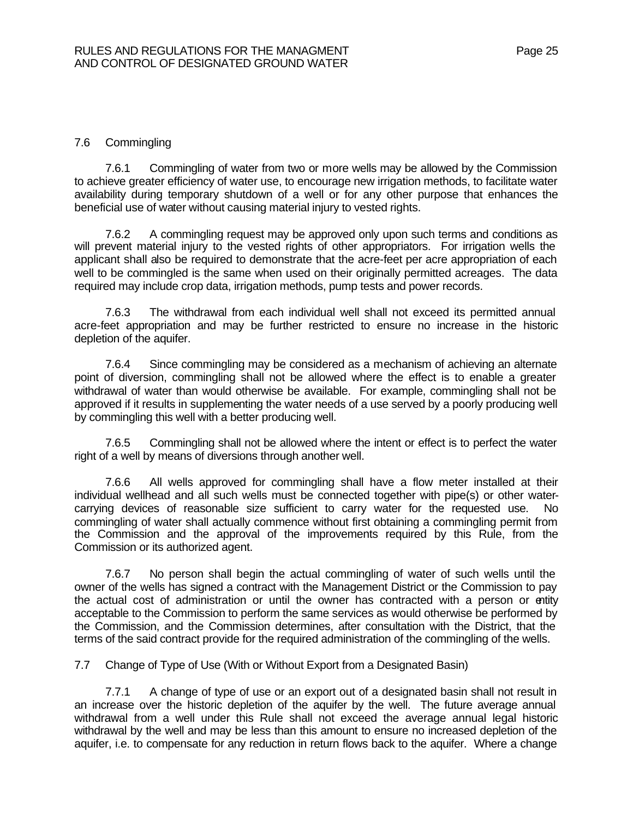## 7.6 Commingling

7.6.1 Commingling of water from two or more wells may be allowed by the Commission to achieve greater efficiency of water use, to encourage new irrigation methods, to facilitate water availability during temporary shutdown of a well or for any other purpose that enhances the beneficial use of water without causing material injury to vested rights.

7.6.2 A commingling request may be approved only upon such terms and conditions as will prevent material injury to the vested rights of other appropriators. For irrigation wells the applicant shall also be required to demonstrate that the acre-feet per acre appropriation of each well to be commingled is the same when used on their originally permitted acreages. The data required may include crop data, irrigation methods, pump tests and power records.

7.6.3 The withdrawal from each individual well shall not exceed its permitted annual acre-feet appropriation and may be further restricted to ensure no increase in the historic depletion of the aquifer.

7.6.4 Since commingling may be considered as a mechanism of achieving an alternate point of diversion, commingling shall not be allowed where the effect is to enable a greater withdrawal of water than would otherwise be available. For example, commingling shall not be approved if it results in supplementing the water needs of a use served by a poorly producing well by commingling this well with a better producing well.

7.6.5 Commingling shall not be allowed where the intent or effect is to perfect the water right of a well by means of diversions through another well.

7.6.6 All wells approved for commingling shall have a flow meter installed at their individual wellhead and all such wells must be connected together with pipe(s) or other watercarrying devices of reasonable size sufficient to carry water for the requested use. No commingling of water shall actually commence without first obtaining a commingling permit from the Commission and the approval of the improvements required by this Rule, from the Commission or its authorized agent.

7.6.7 No person shall begin the actual commingling of water of such wells until the owner of the wells has signed a contract with the Management District or the Commission to pay the actual cost of administration or until the owner has contracted with a person or entity acceptable to the Commission to perform the same services as would otherwise be performed by the Commission, and the Commission determines, after consultation with the District, that the terms of the said contract provide for the required administration of the commingling of the wells.

7.7 Change of Type of Use (With or Without Export from a Designated Basin)

7.7.1 A change of type of use or an export out of a designated basin shall not result in an increase over the historic depletion of the aquifer by the well. The future average annual withdrawal from a well under this Rule shall not exceed the average annual legal historic withdrawal by the well and may be less than this amount to ensure no increased depletion of the aquifer, i.e. to compensate for any reduction in return flows back to the aquifer. Where a change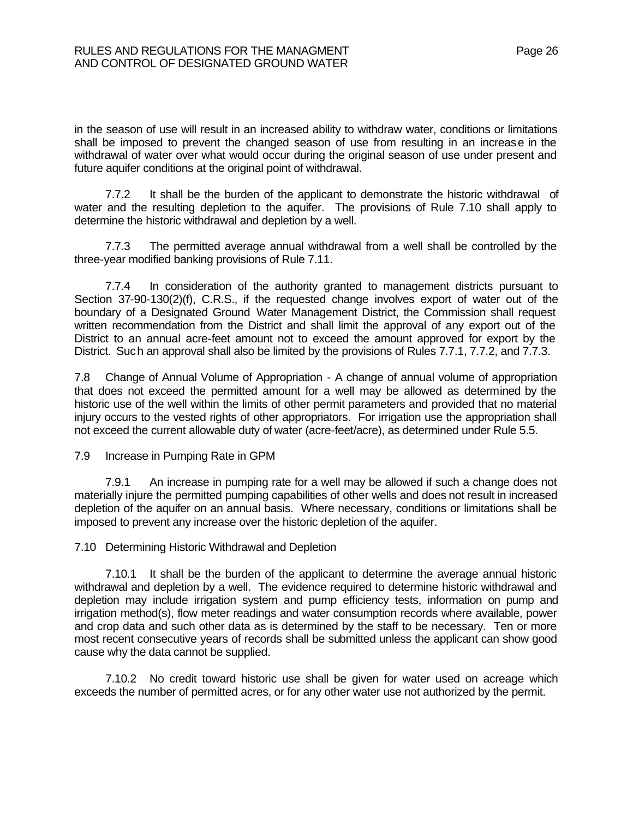in the season of use will result in an increased ability to withdraw water, conditions or limitations shall be imposed to prevent the changed season of use from resulting in an increase in the withdrawal of water over what would occur during the original season of use under present and future aquifer conditions at the original point of withdrawal.

7.7.2 It shall be the burden of the applicant to demonstrate the historic withdrawal of water and the resulting depletion to the aquifer. The provisions of Rule 7.10 shall apply to determine the historic withdrawal and depletion by a well.

7.7.3 The permitted average annual withdrawal from a well shall be controlled by the three-year modified banking provisions of Rule 7.11.

7.7.4 In consideration of the authority granted to management districts pursuant to Section 37-90-130(2)(f), C.R.S., if the requested change involves export of water out of the boundary of a Designated Ground Water Management District, the Commission shall request written recommendation from the District and shall limit the approval of any export out of the District to an annual acre-feet amount not to exceed the amount approved for export by the District. Such an approval shall also be limited by the provisions of Rules 7.7.1, 7.7.2, and 7.7.3.

7.8 Change of Annual Volume of Appropriation - A change of annual volume of appropriation that does not exceed the permitted amount for a well may be allowed as determined by the historic use of the well within the limits of other permit parameters and provided that no material injury occurs to the vested rights of other appropriators. For irrigation use the appropriation shall not exceed the current allowable duty of water (acre-feet/acre), as determined under Rule 5.5.

7.9 Increase in Pumping Rate in GPM

7.9.1 An increase in pumping rate for a well may be allowed if such a change does not materially injure the permitted pumping capabilities of other wells and does not result in increased depletion of the aquifer on an annual basis. Where necessary, conditions or limitations shall be imposed to prevent any increase over the historic depletion of the aquifer.

7.10 Determining Historic Withdrawal and Depletion

7.10.1 It shall be the burden of the applicant to determine the average annual historic withdrawal and depletion by a well. The evidence required to determine historic withdrawal and depletion may include irrigation system and pump efficiency tests, information on pump and irrigation method(s), flow meter readings and water consumption records where available, power and crop data and such other data as is determined by the staff to be necessary. Ten or more most recent consecutive years of records shall be submitted unless the applicant can show good cause why the data cannot be supplied.

7.10.2 No credit toward historic use shall be given for water used on acreage which exceeds the number of permitted acres, or for any other water use not authorized by the permit.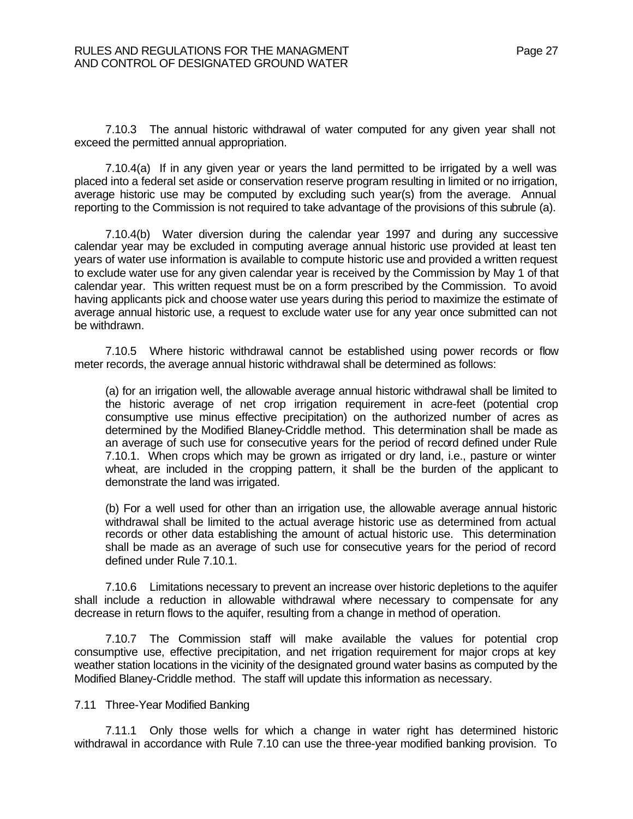7.10.3 The annual historic withdrawal of water computed for any given year shall not exceed the permitted annual appropriation.

7.10.4(a) If in any given year or years the land permitted to be irrigated by a well was placed into a federal set aside or conservation reserve program resulting in limited or no irrigation, average historic use may be computed by excluding such year(s) from the average. Annual reporting to the Commission is not required to take advantage of the provisions of this subrule (a).

7.10.4(b) Water diversion during the calendar year 1997 and during any successive calendar year may be excluded in computing average annual historic use provided at least ten years of water use information is available to compute historic use and provided a written request to exclude water use for any given calendar year is received by the Commission by May 1 of that calendar year. This written request must be on a form prescribed by the Commission. To avoid having applicants pick and choose water use years during this period to maximize the estimate of average annual historic use, a request to exclude water use for any year once submitted can not be withdrawn.

7.10.5 Where historic withdrawal cannot be established using power records or flow meter records, the average annual historic withdrawal shall be determined as follows:

(a) for an irrigation well, the allowable average annual historic withdrawal shall be limited to the historic average of net crop irrigation requirement in acre-feet (potential crop consumptive use minus effective precipitation) on the authorized number of acres as determined by the Modified Blaney-Criddle method. This determination shall be made as an average of such use for consecutive years for the period of record defined under Rule 7.10.1. When crops which may be grown as irrigated or dry land, i.e., pasture or winter wheat, are included in the cropping pattern, it shall be the burden of the applicant to demonstrate the land was irrigated.

(b) For a well used for other than an irrigation use, the allowable average annual historic withdrawal shall be limited to the actual average historic use as determined from actual records or other data establishing the amount of actual historic use. This determination shall be made as an average of such use for consecutive years for the period of record defined under Rule 7.10.1.

7.10.6 Limitations necessary to prevent an increase over historic depletions to the aquifer shall include a reduction in allowable withdrawal where necessary to compensate for any decrease in return flows to the aquifer, resulting from a change in method of operation.

7.10.7 The Commission staff will make available the values for potential crop consumptive use, effective precipitation, and net irrigation requirement for major crops at key weather station locations in the vicinity of the designated ground water basins as computed by the Modified Blaney-Criddle method. The staff will update this information as necessary.

#### 7.11 Three-Year Modified Banking

7.11.1 Only those wells for which a change in water right has determined historic withdrawal in accordance with Rule 7.10 can use the three-year modified banking provision. To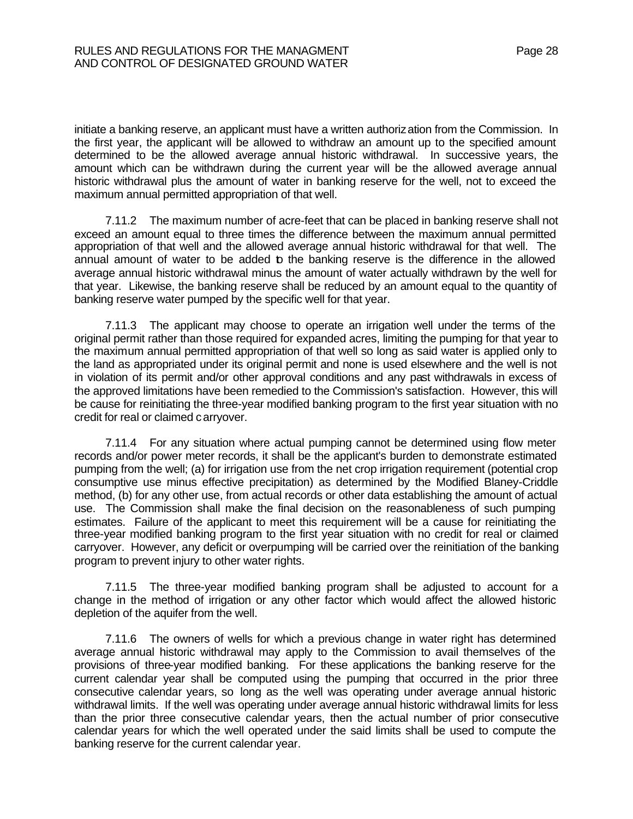initiate a banking reserve, an applicant must have a written authoriz ation from the Commission. In the first year, the applicant will be allowed to withdraw an amount up to the specified amount determined to be the allowed average annual historic withdrawal. In successive years, the amount which can be withdrawn during the current year will be the allowed average annual historic withdrawal plus the amount of water in banking reserve for the well, not to exceed the maximum annual permitted appropriation of that well.

7.11.2 The maximum number of acre-feet that can be placed in banking reserve shall not exceed an amount equal to three times the difference between the maximum annual permitted appropriation of that well and the allowed average annual historic withdrawal for that well. The annual amount of water to be added **b** the banking reserve is the difference in the allowed average annual historic withdrawal minus the amount of water actually withdrawn by the well for that year. Likewise, the banking reserve shall be reduced by an amount equal to the quantity of banking reserve water pumped by the specific well for that year.

7.11.3 The applicant may choose to operate an irrigation well under the terms of the original permit rather than those required for expanded acres, limiting the pumping for that year to the maximum annual permitted appropriation of that well so long as said water is applied only to the land as appropriated under its original permit and none is used elsewhere and the well is not in violation of its permit and/or other approval conditions and any past withdrawals in excess of the approved limitations have been remedied to the Commission's satisfaction. However, this will be cause for reinitiating the three-year modified banking program to the first year situation with no credit for real or claimed carryover.

7.11.4 For any situation where actual pumping cannot be determined using flow meter records and/or power meter records, it shall be the applicant's burden to demonstrate estimated pumping from the well; (a) for irrigation use from the net crop irrigation requirement (potential crop consumptive use minus effective precipitation) as determined by the Modified Blaney-Criddle method, (b) for any other use, from actual records or other data establishing the amount of actual use. The Commission shall make the final decision on the reasonableness of such pumping estimates. Failure of the applicant to meet this requirement will be a cause for reinitiating the three-year modified banking program to the first year situation with no credit for real or claimed carryover. However, any deficit or overpumping will be carried over the reinitiation of the banking program to prevent injury to other water rights.

7.11.5 The three-year modified banking program shall be adjusted to account for a change in the method of irrigation or any other factor which would affect the allowed historic depletion of the aquifer from the well.

7.11.6 The owners of wells for which a previous change in water right has determined average annual historic withdrawal may apply to the Commission to avail themselves of the provisions of three-year modified banking. For these applications the banking reserve for the current calendar year shall be computed using the pumping that occurred in the prior three consecutive calendar years, so long as the well was operating under average annual historic withdrawal limits. If the well was operating under average annual historic withdrawal limits for less than the prior three consecutive calendar years, then the actual number of prior consecutive calendar years for which the well operated under the said limits shall be used to compute the banking reserve for the current calendar year.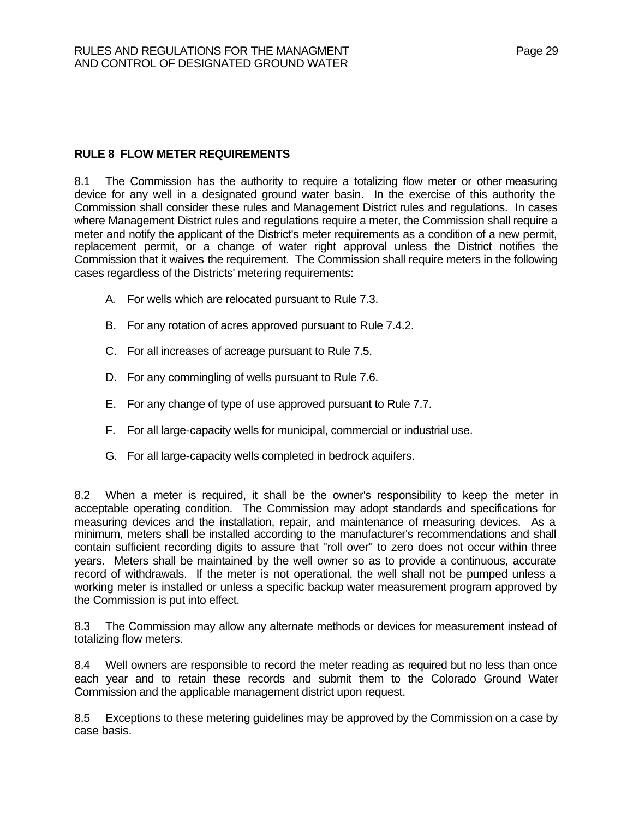## **RULE 8 FLOW METER REQUIREMENTS**

8.1 The Commission has the authority to require a totalizing flow meter or other measuring device for any well in a designated ground water basin. In the exercise of this authority the Commission shall consider these rules and Management District rules and regulations. In cases where Management District rules and regulations require a meter, the Commission shall require a meter and notify the applicant of the District's meter requirements as a condition of a new permit, replacement permit, or a change of water right approval unless the District notifies the Commission that it waives the requirement. The Commission shall require meters in the following cases regardless of the Districts' metering requirements:

- A. For wells which are relocated pursuant to Rule 7.3.
- B. For any rotation of acres approved pursuant to Rule 7.4.2.
- C. For all increases of acreage pursuant to Rule 7.5.
- D. For any commingling of wells pursuant to Rule 7.6.
- E. For any change of type of use approved pursuant to Rule 7.7.
- F. For all large-capacity wells for municipal, commercial or industrial use.
- G. For all large-capacity wells completed in bedrock aquifers.

8.2 When a meter is required, it shall be the owner's responsibility to keep the meter in acceptable operating condition. The Commission may adopt standards and specifications for measuring devices and the installation, repair, and maintenance of measuring devices. As a minimum, meters shall be installed according to the manufacturer's recommendations and shall contain sufficient recording digits to assure that "roll over" to zero does not occur within three years. Meters shall be maintained by the well owner so as to provide a continuous, accurate record of withdrawals. If the meter is not operational, the well shall not be pumped unless a working meter is installed or unless a specific backup water measurement program approved by the Commission is put into effect.

8.3 The Commission may allow any alternate methods or devices for measurement instead of totalizing flow meters.

8.4 Well owners are responsible to record the meter reading as required but no less than once each year and to retain these records and submit them to the Colorado Ground Water Commission and the applicable management district upon request.

8.5 Exceptions to these metering guidelines may be approved by the Commission on a case by case basis.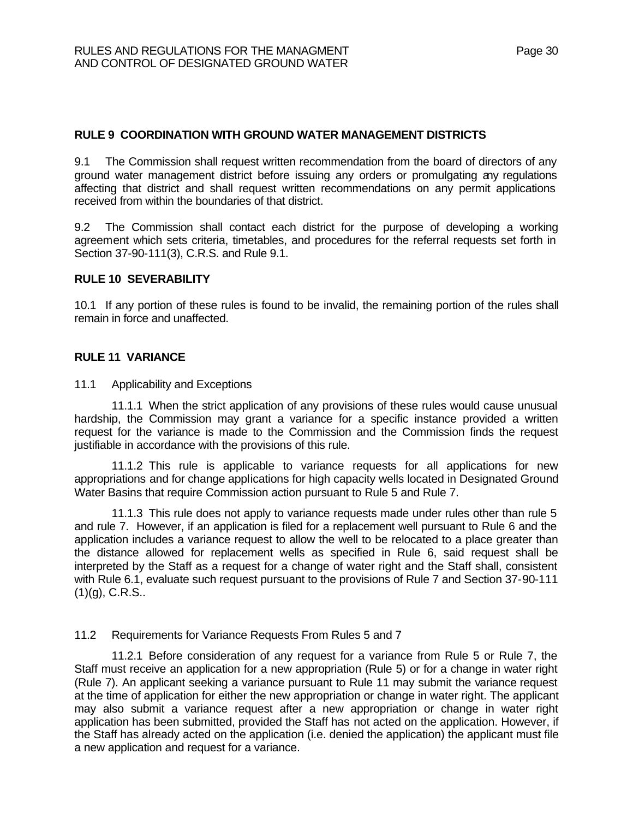## **RULE 9 COORDINATION WITH GROUND WATER MANAGEMENT DISTRICTS**

9.1 The Commission shall request written recommendation from the board of directors of any ground water management district before issuing any orders or promulgating any regulations affecting that district and shall request written recommendations on any permit applications received from within the boundaries of that district.

9.2 The Commission shall contact each district for the purpose of developing a working agreement which sets criteria, timetables, and procedures for the referral requests set forth in Section 37-90-111(3), C.R.S. and Rule 9.1.

#### **RULE 10 SEVERABILITY**

10.1 If any portion of these rules is found to be invalid, the remaining portion of the rules shall remain in force and unaffected.

#### **RULE 11 VARIANCE**

11.1 Applicability and Exceptions

11.1.1 When the strict application of any provisions of these rules would cause unusual hardship, the Commission may grant a variance for a specific instance provided a written request for the variance is made to the Commission and the Commission finds the request justifiable in accordance with the provisions of this rule.

11.1.2 This rule is applicable to variance requests for all applications for new appropriations and for change applications for high capacity wells located in Designated Ground Water Basins that require Commission action pursuant to Rule 5 and Rule 7.

11.1.3 This rule does not apply to variance requests made under rules other than rule 5 and rule 7. However, if an application is filed for a replacement well pursuant to Rule 6 and the application includes a variance request to allow the well to be relocated to a place greater than the distance allowed for replacement wells as specified in Rule 6, said request shall be interpreted by the Staff as a request for a change of water right and the Staff shall, consistent with Rule 6.1, evaluate such request pursuant to the provisions of Rule 7 and Section 37-90-111  $(1)(q)$ , C.R.S..

#### 11.2 Requirements for Variance Requests From Rules 5 and 7

11.2.1 Before consideration of any request for a variance from Rule 5 or Rule 7, the Staff must receive an application for a new appropriation (Rule 5) or for a change in water right (Rule 7). An applicant seeking a variance pursuant to Rule 11 may submit the variance request at the time of application for either the new appropriation or change in water right. The applicant may also submit a variance request after a new appropriation or change in water right application has been submitted, provided the Staff has not acted on the application. However, if the Staff has already acted on the application (i.e. denied the application) the applicant must file a new application and request for a variance.